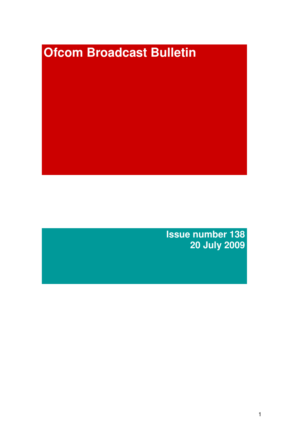# **Ofcom Broadcast Bulletin**

**Issue number 138 20 July 2009**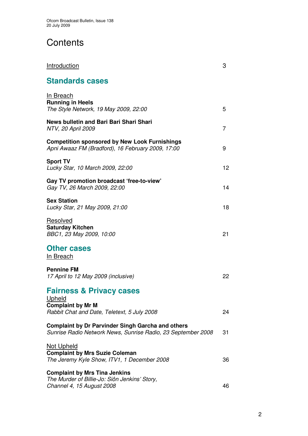# **Contents**

| <u>Introduction</u>                                                                                                             | 3  |
|---------------------------------------------------------------------------------------------------------------------------------|----|
| <b>Standards cases</b>                                                                                                          |    |
| In Breach<br><b>Running in Heels</b><br>The Style Network, 19 May 2009, 22:00                                                   | 5  |
| News bulletin and Bari Bari Shari Shari<br>NTV, 20 April 2009                                                                   | 7  |
| <b>Competition sponsored by New Look Furnishings</b><br>Apni Awaaz FM (Bradford), 16 February 2009, 17:00                       | 9  |
| <b>Sport TV</b><br>Lucky Star, 10 March 2009, 22:00                                                                             | 12 |
| Gay TV promotion broadcast 'free-to-view'<br>Gay TV, 26 March 2009, 22:00                                                       | 14 |
| <b>Sex Station</b><br>Lucky Star, 21 May 2009, 21:00                                                                            | 18 |
| Resolved<br><b>Saturday Kitchen</b><br>BBC1, 23 May 2009, 10:00                                                                 | 21 |
| <b>Other cases</b><br><u>In Breach</u>                                                                                          |    |
| <b>Pennine FM</b><br>17 April to 12 May 2009 (inclusive)                                                                        | 22 |
| <b>Fairness &amp; Privacy cases</b><br><b>Upheld</b><br><b>Complaint by Mr M</b><br>Rabbit Chat and Date, Teletext, 5 July 2008 | 24 |
| <b>Complaint by Dr Parvinder Singh Garcha and others</b><br>Sunrise Radio Network News, Sunrise Radio, 23 September 2008        | 31 |
| <b>Not Upheld</b><br><b>Complaint by Mrs Suzie Coleman</b><br>The Jeremy Kyle Show, ITV1, 1 December 2008                       | 36 |
| <b>Complaint by Mrs Tina Jenkins</b><br>The Murder of Billie-Jo: Siôn Jenkins' Story,<br>Channel 4, 15 August 2008              | 46 |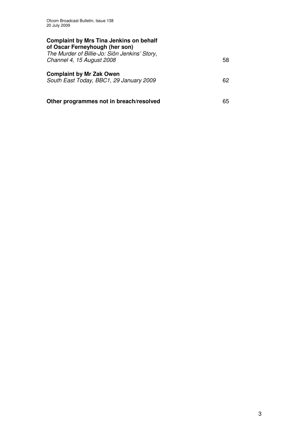| <b>Complaint by Mrs Tina Jenkins on behalf</b><br>of Oscar Ferneyhough (her son)<br>The Murder of Billie-Jo: Siôn Jenkins' Story,<br>Channel 4, 15 August 2008 | 58 |
|----------------------------------------------------------------------------------------------------------------------------------------------------------------|----|
| <b>Complaint by Mr Zak Owen</b><br>South East Today, BBC1, 29 January 2009                                                                                     | 62 |
| Other programmes not in breach/resolved                                                                                                                        | 65 |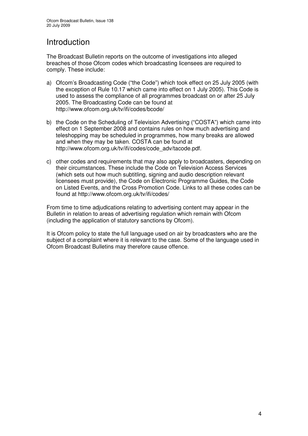# Introduction

The Broadcast Bulletin reports on the outcome of investigations into alleged breaches of those Ofcom codes which broadcasting licensees are required to comply. These include:

- a) Ofcom's Broadcasting Code ("the Code") which took effect on 25 July 2005 (with the exception of Rule 10.17 which came into effect on 1 July 2005). This Code is used to assess the compliance of all programmes broadcast on or after 25 July 2005. The Broadcasting Code can be found at http://www.ofcom.org.uk/tv/ifi/codes/bcode/
- b) the Code on the Scheduling of Television Advertising ("COSTA") which came into effect on 1 September 2008 and contains rules on how much advertising and teleshopping may be scheduled in programmes, how many breaks are allowed and when they may be taken. COSTA can be found at http://www.ofcom.org.uk/tv/ifi/codes/code\_adv/tacode.pdf.
- c) other codes and requirements that may also apply to broadcasters, depending on their circumstances. These include the Code on Television Access Services (which sets out how much subtitling, signing and audio description relevant licensees must provide), the Code on Electronic Programme Guides, the Code on Listed Events, and the Cross Promotion Code. Links to all these codes can be found at http://www.ofcom.org.uk/tv/ifi/codes/

From time to time adjudications relating to advertising content may appear in the Bulletin in relation to areas of advertising regulation which remain with Ofcom (including the application of statutory sanctions by Ofcom).

It is Ofcom policy to state the full language used on air by broadcasters who are the subject of a complaint where it is relevant to the case. Some of the language used in Ofcom Broadcast Bulletins may therefore cause offence.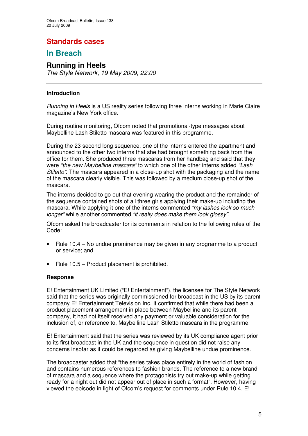## **Standards cases**

## **In Breach**

## **Running in Heels**

*The Style Network, 19 May 2009, 22:00*

## **Introduction**

*Running in Heels* is a US reality series following three interns working in Marie Claire magazine's New York office.

During routine monitoring, Ofcom noted that promotional-type messages about Maybelline Lash Stiletto mascara was featured in this programme.

During the 23 second long sequence, one of the interns entered the apartment and announced to the other two interns that she had brought something back from the office for them. She produced three mascaras from her handbag and said that they were *"the new Maybelline mascara"* to which one of the other interns added *"Lash Stiletto"*. The mascara appeared in a close-up shot with the packaging and the name of the mascara clearly visible. This was followed by a medium close-up shot of the mascara.

The interns decided to go out that evening wearing the product and the remainder of the sequence contained shots of all three girls applying their make-up including the mascara. While applying it one of the interns commented *"my lashes look so much longer"* while another commented *"it really does make them look glossy"*.

Ofcom asked the broadcaster for its comments in relation to the following rules of the Code:

- Rule 10.4 No undue prominence may be given in any programme to a product or service; and
- Rule 10.5 Product placement is prohibited.

## **Response**

E! Entertainment UK Limited ("E! Entertainment"), the licensee for The Style Network said that the series was originally commissioned for broadcast in the US by its parent company E! Entertainment Television Inc. It confirmed that while there had been a product placement arrangement in place between Maybelline and its parent company, it had not itself received any payment or valuable consideration for the inclusion of, or reference to, Maybelline Lash Stiletto mascara in the programme.

E! Entertainment said that the series was reviewed by its UK compliance agent prior to its first broadcast in the UK and the sequence in question did not raise any concerns insofar as it could be regarded as giving Maybelline undue prominence.

The broadcaster added that "the series takes place entirely in the world of fashion and contains numerous references to fashion brands. The reference to a new brand of mascara and a sequence where the protagonists try out make-up while getting ready for a night out did not appear out of place in such a format". However, having viewed the episode in light of Ofcom's request for comments under Rule 10.4, E!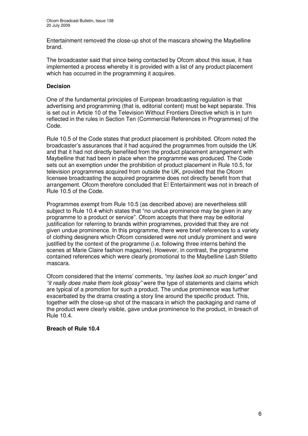Entertainment removed the close-up shot of the mascara showing the Maybelline brand.

The broadcaster said that since being contacted by Ofcom about this issue, it has implemented a process whereby it is provided with a list of any product placement which has occurred in the programming it acquires.

## **Decision**

One of the fundamental principles of European broadcasting regulation is that advertising and programming (that is, editorial content) must be kept separate. This is set out in Article 10 of the Television Without Frontiers Directive which is in turn reflected in the rules in Section Ten (Commercial References in Programmes) of the Code.

Rule 10.5 of the Code states that product placement is prohibited. Ofcom noted the broadcaster's assurances that it had acquired the programmes from outside the UK and that it had not directly benefited from the product placement arrangement with Maybelline that had been in place when the programme was produced. The Code sets out an exemption under the prohibition of product placement in Rule 10.5, for television programmes acquired from outside the UK, provided that the Ofcom licensee broadcasting the acquired programme does not directly benefit from that arrangement. Ofcom therefore concluded that E! Entertainment was not in breach of Rule 10.5 of the Code.

Programmes exempt from Rule 10.5 (as described above) are nevertheless still subject to Rule 10.4 which states that "no undue prominence may be given in any programme to a product or service". Ofcom accepts that there may be editorial justification for referring to brands within programmes, provided that they are not given undue prominence. In this programme, there were brief references to a variety of clothing designers which Ofcom considered were not unduly prominent and were justified by the context of the programme (i.e. following three interns behind the scenes at Marie Claire fashion magazine). However, in contrast, the programme contained references which were clearly promotional to the Maybelline Lash Stiletto mascara.

Ofcom considered that the interns' comments, *"my lashes look so much longer"* and *"it really does make them look glossy"* were the type of statements and claims which are typical of a promotion for such a product. The undue prominence was further exacerbated by the drama creating a story line around the specific product. This, together with the close-up shot of the mascara in which the packaging and name of the product were clearly visible, gave undue prominence to the product, in breach of Rule 10.4.

## **Breach of Rule 10.4**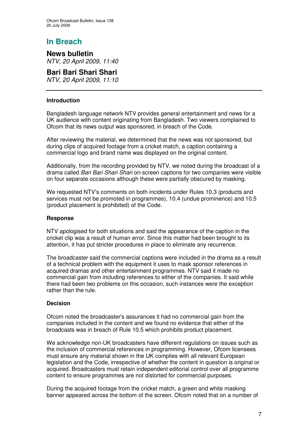## **In Breach**

**News bulletin** *NTV, 20 April 2009, 11:40*

**Bari Bari Shari Shari** *NTV, 20 April 2009*, *11:10*

## **Introduction**

Bangladesh language network NTV provides general entertainment and news for a UK audience with content originating from Bangladesh. Two viewers complained to Ofcom that its news output was sponsored, in breach of the Code.

After reviewing the material, we determined that the news was not sponsored, but during clips of acquired footage from a cricket match, a caption containing a commercial logo and brand name was displayed on the original content.

Additionally, from the recording provided by NTV, we noted during the broadcast of a drama called *Bari Bari Shari Shari* on-screen captions for two companies were visible on four separate occasions although these were partially obscured by masking.

We requested NTV's comments on both incidents under Rules 10.3 (products and services must not be promoted in programmes), 10.4 (undue prominence) and 10.5 (product placement is prohibited) of the Code.

## **Response**

NTV apologised for both situations and said the appearance of the caption in the cricket clip was a result of human error. Since this matter had been brought to its attention, it has put stricter procedures in place to eliminate any recurrence.

The broadcaster said the commercial captions were included in the drama as a result of a technical problem with the equipment it uses to mask sponsor references in acquired dramas and other entertainment programmes. NTV said it made no commercial gain from including references to either of the companies. It said while there had been two problems on this occasion, such instances were the exception rather than the rule.

#### **Decision**

Ofcom noted the broadcaster's assurances it had no commercial gain from the companies included in the content and we found no evidence that either of the broadcasts was in breach of Rule 10.5 which prohibits product placement.

We acknowledge non-UK broadcasters have different regulations on issues such as the inclusion of commercial references in programming. However, Ofcom licensees must ensure any material shown in the UK complies with all relevant European legislation and the Code, irrespective of whether the content in question is original or acquired. Broadcasters must retain independent editorial control over all programme content to ensure programmes are not distorted for commercial purposes.

During the acquired footage from the cricket match, a green and white masking banner appeared across the bottom of the screen. Ofcom noted that on a number of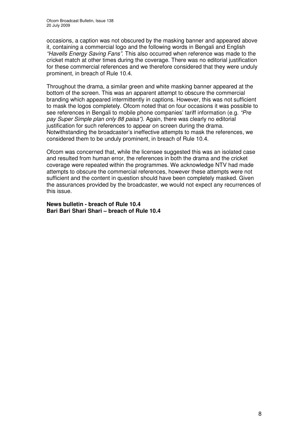occasions, a caption was not obscured by the masking banner and appeared above it, containing a commercial logo and the following words in Bengali and English *"Havells Energy Saving Fans"*. This also occurred when reference was made to the cricket match at other times during the coverage. There was no editorial justification for these commercial references and we therefore considered that they were unduly prominent, in breach of Rule 10.4.

Throughout the drama, a similar green and white masking banner appeared at the bottom of the screen. This was an apparent attempt to obscure the commercial branding which appeared intermittently in captions. However, this was not sufficient to mask the logos completely. Ofcom noted that on four occasions it was possible to see references in Bengali to mobile phone companies' tariff information (e.g. *"Pre pay Super Simple plan only 88 paisa")*. Again, there was clearly no editorial justification for such references to appear on screen during the drama. Notwithstanding the broadcaster's ineffective attempts to mask the references, we considered them to be unduly prominent, in breach of Rule 10.4.

Ofcom was concerned that, while the licensee suggested this was an isolated case and resulted from human error, the references in both the drama and the cricket coverage were repeated within the programmes. We acknowledge NTV had made attempts to obscure the commercial references, however these attempts were not sufficient and the content in question should have been completely masked. Given the assurances provided by the broadcaster, we would not expect any recurrences of this issue.

**News bulletin - breach of Rule 10.4 Bari Bari Shari Shari – breach of Rule 10.4**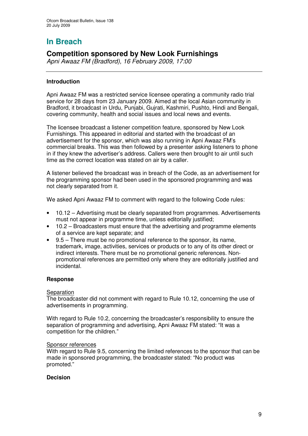# **In Breach**

## **Competition sponsored by New Look Furnishings**

*Apni Awaaz FM (Bradford), 16 February 2009, 17:00*

## **Introduction**

Apni Awaaz FM was a restricted service licensee operating a community radio trial service for 28 days from 23 January 2009. Aimed at the local Asian community in Bradford, it broadcast in Urdu, Punjabi, Gujrati, Kashmiri, Pushto, Hindi and Bengali, covering community, health and social issues and local news and events.

The licensee broadcast a listener competition feature, sponsored by New Look Furnishings. This appeared in editorial and started with the broadcast of an advertisement for the sponsor, which was also running in Apni Awaaz FM's commercial breaks. This was then followed by a presenter asking listeners to phone in if they knew the advertiser's address. Callers were then brought to air until such time as the correct location was stated on air by a caller.

A listener believed the broadcast was in breach of the Code, as an advertisement for the programming sponsor had been used in the sponsored programming and was not clearly separated from it.

We asked Apni Awaaz FM to comment with regard to the following Code rules:

- 10.12 Advertising must be clearly separated from programmes. Advertisements must not appear in programme time, unless editorially justified;
- 10.2 Broadcasters must ensure that the advertising and programme elements of a service are kept separate; and
- 9.5 There must be no promotional reference to the sponsor, its name, trademark, image, activities, services or products or to any of its other direct or indirect interests. There must be no promotional generic references. Nonpromotional references are permitted only where they are editorially justified and incidental.

## **Response**

## Separation

The broadcaster did not comment with regard to Rule 10.12, concerning the use of advertisements in programming.

With regard to Rule 10.2, concerning the broadcaster's responsibility to ensure the separation of programming and advertising, Apni Awaaz FM stated: "It was a competition for the children."

#### Sponsor references

With regard to Rule 9.5, concerning the limited references to the sponsor that can be made in sponsored programming, the broadcaster stated: "No product was promoted."

## **Decision**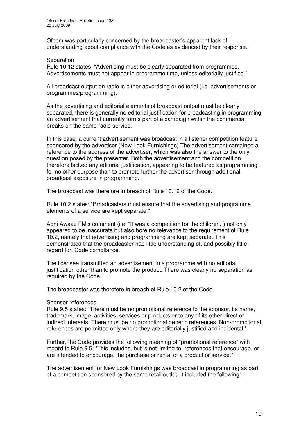Ofcom was particularly concerned by the broadcaster's apparent lack of understanding about compliance with the Code as evidenced by their response.

## Separation

Rule 10.12 states: "Advertising must be clearly separated from programmes. Advertisements must not appear in programme time, unless editorially justified."

All broadcast output on radio is either advertising or editorial (i.e. advertisements or programmes/programming).

As the advertising and editorial elements of broadcast output must be clearly separated, there is generally no editorial justification for broadcasting in programming an advertisement that currently forms part of a campaign within the commercial breaks on the same radio service.

In this case, a current advertisement was broadcast in a listener competition feature sponsored by the advertiser (New Look Furnishings).The advertisement contained a reference to the address of the advertiser, which was also the answer to the only question posed by the presenter. Both the advertisement and the competition therefore lacked any editorial justification, appearing to be featured as programming for no other purpose than to promote further the advertiser through additional broadcast exposure in programming.

The broadcast was therefore in breach of Rule 10.12 of the Code.

Rule 10.2 states: "Broadcasters must ensure that the advertising and programme elements of a service are kept separate."

Apni Awaaz FM's comment (i.e. "It was a competition for the children.") not only appeared to be inaccurate but also bore no relevance to the requirement of Rule 10.2, namely that advertising and programming are kept separate. This demonstrated that the broadcaster had little understanding of, and possibly little regard for, Code compliance.

The licensee transmitted an advertisement in a programme with no editorial justification other than to promote the product. There was clearly no separation as required by the Code.

The broadcaster was therefore in breach of Rule 10.2 of the Code.

#### Sponsor references

Rule 9.5 states: "There must be no promotional reference to the sponsor, its name, trademark, image, activities, services or products or to any of its other direct or indirect interests. There must be no promotional generic references. Non-promotional references are permitted only where they are editorially justified and incidental."

Further, the Code provides the following meaning of "promotional reference" with regard to Rule 9.5: "This includes, but is not limited to, references that encourage, or are intended to encourage, the purchase or rental of a product or service."

The advertisement for New Look Furnishings was broadcast in programming as part of a competition sponsored by the same retail outlet. It included the following: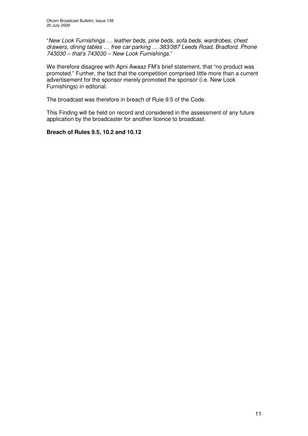"*New Look Furnishings … leather beds, pine beds, sofa beds, wardrobes, chest drawers, dining tables … free car parking … 383/387 Leeds Road, Bradford. Phone 743030 – that's 743030 – New Look Furnishings.*"

We therefore disagree with Apni Awaaz FM's brief statement, that "no product was promoted." Further, the fact that the competition comprised little more than a current advertisement for the sponsor merely promoted the sponsor (i.e. New Look Furnishings) in editorial.

The broadcast was therefore in breach of Rule 9.5 of the Code.

This Finding will be held on record and considered in the assessment of any future application by the broadcaster for another licence to broadcast.

## **Breach of Rules 9.5, 10.2 and 10.12**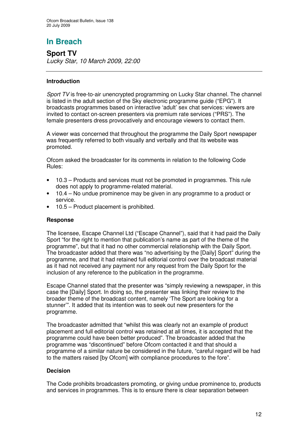# **In Breach**

**Sport TV** *Lucky Star, 10 March 2009, 22:00*

## **Introduction**

*Sport TV* is free-to-air unencrypted programming on Lucky Star channel. The channel is listed in the adult section of the Sky electronic programme guide ("EPG"). It broadcasts programmes based on interactive 'adult' sex chat services: viewers are invited to contact on-screen presenters via premium rate services ("PRS"). The female presenters dress provocatively and encourage viewers to contact them.

A viewer was concerned that throughout the programme the Daily Sport newspaper was frequently referred to both visually and verbally and that its website was promoted.

Ofcom asked the broadcaster for its comments in relation to the following Code Rules:

- 10.3 Products and services must not be promoted in programmes. This rule does not apply to programme-related material.
- 10.4 No undue prominence may be given in any programme to a product or service.
- 10.5 Product placement is prohibited.

## **Response**

The licensee, Escape Channel Ltd ("Escape Channel"), said that it had paid the Daily Sport "for the right to mention that publication's name as part of the theme of the programme", but that it had no other commercial relationship with the Daily Sport. The broadcaster added that there was "no advertising by the [Daily] Sport" during the programme, and that it had retained full editorial control over the broadcast material as it had not received any payment nor any request from the Daily Sport for the inclusion of any reference to the publication in the programme.

Escape Channel stated that the presenter was "simply reviewing a newspaper, in this case the [Daily] Sport. In doing so, the presenter was linking their review to the broader theme of the broadcast content, namely 'The Sport are looking for a stunner'". It added that its intention was to seek out new presenters for the programme.

The broadcaster admitted that "whilst this was clearly not an example of product placement and full editorial control was retained at all times, it is accepted that the programme could have been better produced". The broadcaster added that the programme was "discontinued" before Ofcom contacted it and that should a programme of a similar nature be considered in the future, "careful regard will be had to the matters raised [by Ofcom] with compliance procedures to the fore".

## **Decision**

The Code prohibits broadcasters promoting, or giving undue prominence to, products and services in programmes. This is to ensure there is clear separation between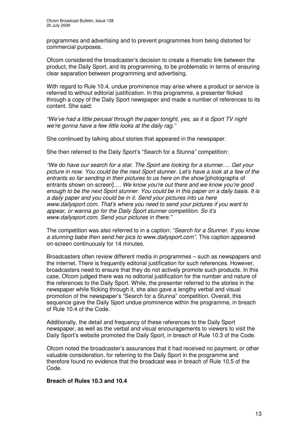programmes and advertising and to prevent programmes from being distorted for commercial purposes.

Ofcom considered the broadcaster's decision to create a thematic link between the product, the Daily Sport, and its programming, to be problematic in terms of ensuring clear separation between programming and advertising.

With regard to Rule 10.4, undue prominence may arise where a product or service is referred to without editorial justification. In this programme, a presenter flicked through a copy of the Daily Sport newspaper and made a number of references to its content. She said:

*"We've had a little perusal through the paper tonight, yes, as it is Sport TV night we're gonna have a few little looks at the daily rag."*

She continued by talking about stories that appeared in the newspaper.

She then referred to the Daily Sport's "Search for a Stunna" competition:

*"We do have our search for a star. The Sport are looking for a stunner…. Get your picture in now. You could be the next Sport stunner. Let's have a look at a few of the entrants so far sending in their pictures to us here on the show* [photographs of entrants shown on-screen]*…. We know you're out there and we know you're good enough to be the next Sport stunner. You could be in this paper on a daily basis. It is a daily paper and you could be in it. Send your pictures into us here www.dailysport.com. That's where you need to send your pictures if you want to appear, or wanna go for the Daily Sport stunner competition. So it's www.dailysport.com. Send your pictures in there."*

The competition was also referred to in a caption: *"Search for a Stunner. If you know a stunning babe then send her pics to www.dailysport.com"*. This caption appeared on-screen continuously for 14 minutes.

Broadcasters often review different media in programmes – such as newspapers and the internet. There is frequently editorial justification for such references. However, broadcasters need to ensure that they do not actively promote such products. In this case, Ofcom judged there was no editorial justification for the number and nature of the references to the Daily Sport. While, the presenter referred to the stories in the newspaper while flicking through it, she also gave a lengthy verbal and visual promotion of the newspaper's "Search for a Stunna" competition. Overall, this sequence gave the Daily Sport undue prominence within the programme, in breach of Rule 10.4 of the Code.

Additionally, the detail and frequency of these references to the Daily Sport newspaper, as well as the verbal and visual encouragements to viewers to visit the Daily Sport's website promoted the Daily Sport, in breach of Rule 10.3 of the Code.

Ofcom noted the broadcaster's assurances that it had received no payment, or other valuable consideration, for referring to the Daily Sport in the programme and therefore found no evidence that the broadcast was in breach of Rule 10.5 of the Code.

#### **Breach of Rules 10.3 and 10.4**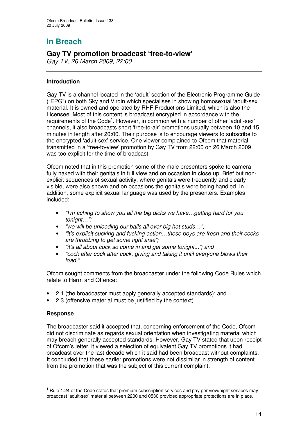# **In Breach**

## **Gay TV promotion broadcast 'free-to-view'**

*Gay TV, 26 March 2009, 22:00*

## **Introduction**

Gay TV is a channel located in the 'adult' section of the Electronic Programme Guide ("EPG") on both Sky and Virgin which specialises in showing homosexual 'adult-sex' material. It is owned and operated by RHF Productions Limited, which is also the Licensee. Most of this content is broadcast encrypted in accordance with the requirements of the Code<sup>1</sup>. However, in common with a number of other 'adult-sex' channels, it also broadcasts short 'free-to-air' promotions usually between 10 and 15 minutes in length after 20:00. Their purpose is to encourage viewers to subscribe to the encrypted 'adult-sex' service. One viewer complained to Ofcom that material transmitted in a 'free-to-view' promotion by Gay TV from 22:00 on 26 March 2009 was too explicit for the time of broadcast.

Ofcom noted that in this promotion some of the male presenters spoke to camera fully naked with their genitals in full view and on occasion in close up. Brief but nonexplicit sequences of sexual activity, where genitals were frequently and clearly visible, were also shown and on occasions the genitals were being handled. In addition, some explicit sexual language was used by the presenters. Examples included:

- *"I'm aching to show you all the big dicks we have…getting hard for you tonight…";*
- *"we will be unloading our balls all over big hot studs…";*
- *"it's explicit sucking and fucking action…these boys are fresh and their cocks are throbbing to get some tight arse";*
- *"it's all about cock so come in and get some tonight..."; and*
- *"cock after cock after cock, giving and taking it until everyone blows their load."*

Ofcom sought comments from the broadcaster under the following Code Rules which relate to Harm and Offence:

- 2.1 (the broadcaster must apply generally accepted standards); and
- 2.3 (offensive material must be justified by the context).

## **Response**

The broadcaster said it accepted that, concerning enforcement of the Code, Ofcom did not discriminate as regards sexual orientation when investigating material which may breach generally accepted standards. However, Gay TV stated that upon receipt of Ofcom's letter, it viewed a selection of equivalent Gay TV promotions it had broadcast over the last decade which it said had been broadcast without complaints. It concluded that these earlier promotions were not dissimilar in strength of content from the promotion that was the subject of this current complaint.

 $<sup>1</sup>$  Rule 1.24 of the Code states that premium subscription services and pay per view/night services may</sup> broadcast 'adult-sex' material between 2200 and 0530 provided appropriate protections are in place.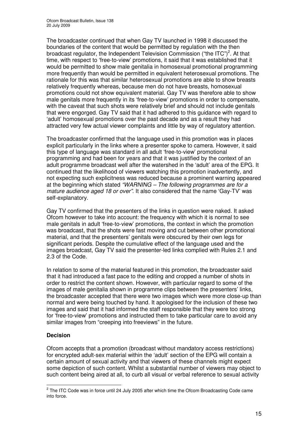The broadcaster continued that when Gay TV launched in 1998 it discussed the boundaries of the content that would be permitted by regulation with the then broadcast regulator, the Independent Television Commission ("the ITC")<sup>2</sup>. At that time, with respect to 'free-to-view' promotions, it said that it was established that it would be permitted to show male genitalia in homosexual promotional programming more frequently than would be permitted in equivalent heterosexual promotions. The rationale for this was that similar heterosexual promotions are able to show breasts relatively frequently whereas, because men do not have breasts, homosexual promotions could not show equivalent material. Gay TV was therefore able to show male genitals more frequently in its 'free-to-view' promotions in order to compensate, with the caveat that such shots were relatively brief and should not include genitals that were engorged. Gay TV said that it had adhered to this guidance with regard to 'adult' homosexual promotions over the past decade and as a result they had attracted very few actual viewer complaints and little by way of regulatory attention.

The broadcaster confirmed that the language used in this promotion was in places explicit particularly in the links where a presenter spoke to camera. However, it said this type of language was standard in all adult 'free-to-view' promotional programming and had been for years and that it was justified by the context of an adult programme broadcast well after the watershed in the 'adult' area of the EPG. It continued that the likelihood of viewers watching this promotion inadvertently, and not expecting such explicitness was reduced because a prominent warning appeared at the beginning which stated *"WARNING – The following programmes are for a mature audience aged 18 or over"*. It also considered that the name 'Gay-TV' was self-explanatory.

Gay TV confirmed that the presenters of the links in question were naked. It asked Ofcom however to take into account: the frequency with which it is normal to see male genitals in adult 'free-to-view' promotions, the context in which the promotion was broadcast, that the shots were fast moving and cut between other promotional material, and that the presenters' genitals were obscured by their own legs for significant periods. Despite the cumulative effect of the language used and the images broadcast, Gay TV said the presenter-led links complied with Rules 2.1 and 2.3 of the Code.

In relation to some of the material featured in this promotion, the broadcaster said that it had introduced a fast pace to the editing and cropped a number of shots in order to restrict the content shown. However, with particular regard to some of the images of male genitalia shown in programme clips between the presenters' links, the broadcaster accepted that there were two images which were more close-up than normal and were being touched by hand. It apologised for the inclusion of these two images and said that it had informed the staff responsible that they were too strong for 'free-to-view' promotions and instructed them to take particular care to avoid any similar images from "creeping into freeviews" in the future.

## **Decision**

Ofcom accepts that a promotion (broadcast without mandatory access restrictions) for encrypted adult-sex material within the 'adult' section of the EPG will contain a certain amount of sexual activity and that viewers of these channels might expect some depiction of such content. Whilst a substantial number of viewers may object to such content being aired at all, to curb all visual or verbal reference to sexual activity

 $2$  The ITC Code was in force until 24 July 2005 after which time the Ofcom Broadcasting Code came into force.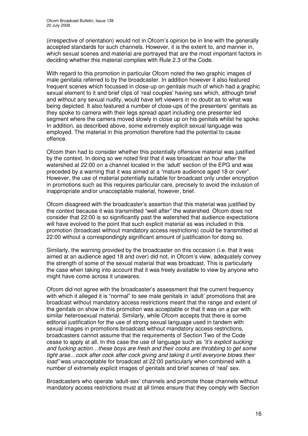(irrespective of orientation) would not in Ofcom's opinion be in line with the generally accepted standards for such channels. However, it is the extent to, and manner in, which sexual scenes and material are portrayed that are the most important factors in deciding whether this material complies with Rule 2.3 of the Code.

With regard to this promotion in particular Ofcom noted the two graphic images of male genitalia referred to by the broadcaster. In addition however it also featured frequent scenes which focussed in close-up on genitals much of which had a graphic sexual element to it and brief clips of 'real couples' having sex which, although brief and without any sexual nudity, would have left viewers in no doubt as to what was being depicted. It also featured a number of close-ups of the presenters' genitals as they spoke to camera with their legs spread apart including one presenter led segment where the camera moved slowly in close up on his genitals whilst he spoke. In addition, as described above, some extremely explicit sexual language was employed. The material in this promotion therefore had the potential to cause offence.

Ofcom then had to consider whether this potentially offensive material was justified by the context. In doing so we noted first that it was broadcast an hour after the watershed at 22:00 on a channel located in the 'adult' section of the EPG and was preceded by a warning that it was aimed at a "mature audience aged 18 or over". However, the use of material potentially suitable for broadcast only under encryption in promotions such as this requires particular care, precisely to avoid the inclusion of inappropriate and/or unacceptable material, however, brief.

Ofcom disagreed with the broadcaster's assertion that this material was justified by the context because it was transmitted "well after" the watershed. Ofcom does not consider that 22:00 is so significantly past the watershed that audience expectations will have evolved to the point that such explicit material as was included in this promotion (broadcast without mandatory access restrictions) could be transmitted at 22:00 without a correspondingly significant amount of justification for doing so.

Similarly, the warning provided by the broadcaster on this occasion (i.e. that it was aimed at an audience aged 18 and over) did not, in Ofcom's view, adequately convey the strength of some of the sexual material that was broadcast. This is particularly the case when taking into account that it was freely available to view by anyone who might have come across it unawares.

Ofcom did not agree with the broadcaster's assessment that the current frequency with which it alleged it is "normal" to see male genitals in 'adult' promotions that are broadcast without mandatory access restrictions meant that the range and extent of the genitals on show in this promotion was acceptable or that it was on a par with similar heterosexual material. Similarly, while Ofcom accepts that there is some editorial justification for the use of strong sexual language used in tandem with sexual images in promotions broadcast without mandatory access restrictions, broadcasters cannot assume that the requirements of Section Two of the Code cease to apply at all. In this case the use of language such as *"it's explicit sucking and fucking action…these boys are fresh and their cocks are throbbing to get some tight arse…cock after cock after cock giving and taking it until everyone blows their load"* was unacceptable for broadcast at 22:00 particularly when combined with a number of extremely explicit images of genitals and brief scenes of 'real' sex.

Broadcasters who operate 'adult-sex' channels and promote those channels without mandatory access restrictions must at all times ensure that they comply with Section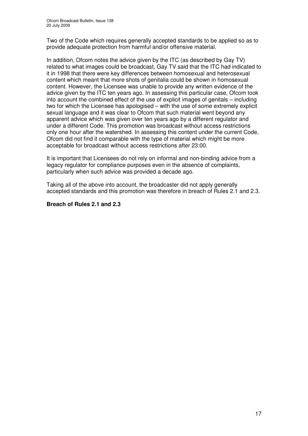Two of the Code which requires generally accepted standards to be applied so as to provide adequate protection from harmful and/or offensive material.

In addition, Ofcom notes the advice given by the ITC (as described by Gay TV) related to what images could be broadcast, Gay TV said that the ITC had indicated to it in 1998 that there were key differences between homosexual and heterosexual content which meant that more shots of genitalia could be shown in homosexual content. However, the Licensee was unable to provide any written evidence of the advice given by the ITC ten years ago. In assessing this particular case, Ofcom took into account the combined effect of the use of explicit images of genitals – including two for which the Licensee has apologised – with the use of some extremely explicit sexual language and it was clear to Ofcom that such material went beyond any apparent advice which was given over ten years ago by a different regulator and under a different Code. This promotion was broadcast without access restrictions only one hour after the watershed. In assessing this content under the current Code, Ofcom did not find it comparable with the type of material which might be more acceptable for broadcast without access restrictions after 23:00.

It is important that Licensees do not rely on informal and non-binding advice from a legacy regulator for compliance purposes even in the absence of complaints, particularly when such advice was provided a decade ago.

Taking all of the above into account, the broadcaster did not apply generally accepted standards and this promotion was therefore in breach of Rules 2.1 and 2.3.

## **Breach of Rules 2.1 and 2.3**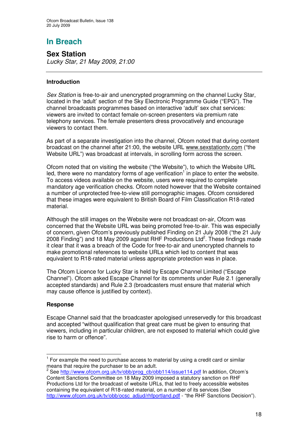# **In Breach**

**Sex Station** *Lucky Star, 21 May 2009, 21:00*

## **Introduction**

*Sex Station* is free-to-air and unencrypted programming on the channel Lucky Star, located in the 'adult' section of the Sky Electronic Programme Guide ("EPG"). The channel broadcasts programmes based on interactive 'adult' sex chat services: viewers are invited to contact female on-screen presenters via premium rate telephony services. The female presenters dress provocatively and encourage viewers to contact them.

As part of a separate investigation into the channel, Ofcom noted that during content broadcast on the channel after 21:00, the website URL www.sexstationtv.com ("the Website URL") was broadcast at intervals, in scrolling form across the screen.

Ofcom noted that on visiting the website ("the Website"), to which the Website URL led, there were no mandatory forms of age verification<sup>1</sup> in place to enter the website. To access videos available on the website, users were required to complete mandatory age verification checks. Ofcom noted however that the Website contained a number of unprotected free-to-view still pornographic images. Ofcom considered that these images were equivalent to British Board of Film Classification R18-rated material.

Although the still images on the Website were not broadcast on-air, Ofcom was concerned that the Website URL was being promoted free-to-air. This was especially of concern, given Ofcom's previously published Finding on 21 July 2008 ("the 21 July 2008 Finding") and 18 May 2009 against RHF Productions Ltd<sup>2</sup>. These findings made it clear that it was a breach of the Code for free-to-air and unencrypted channels to make promotional references to website URLs which led to content that was equivalent to R18-rated material unless appropriate protection was in place.

The Ofcom Licence for Lucky Star is held by Escape Channel Limited ("Escape Channel"). Ofcom asked Escape Channel for its comments under Rule 2.1 (generally accepted standards) and Rule 2.3 (broadcasters must ensure that material which may cause offence is justified by context).

## **Response**

Escape Channel said that the broadcaster apologised unreservedly for this broadcast and accepted "without qualification that great care must be given to ensuring that viewers, including in particular children, are not exposed to material which could give rise to harm or offence".

 $1$  For example the need to purchase access to material by using a credit card or similar means that require the purchaser to be an adult.

<sup>&</sup>lt;sup>2</sup> See <u>http://www.ofcom.org.uk/tv/obb/prog\_cb/obb114/issue114.pdf</u> In addition, Ofcom's Content Sanctions Committee on 18 May 2009 imposed a statutory sanction on RHF Productions Ltd for the broadcast of website URLs, that led to freely accessible websites containing the equivalent of R18-rated material, on a number of its services (See http://www.ofcom.org.uk/tv/obb/ocsc\_adjud/rhfportland.pdf - "the RHF Sanctions Decision").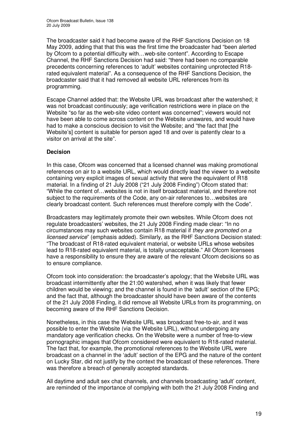The broadcaster said it had become aware of the RHF Sanctions Decision on 18 May 2009, adding that that this was the first time the broadcaster had "been alerted by Ofcom to a potential difficulty with…web-site content". According to Escape Channel, the RHF Sanctions Decision had said: "there had been no comparable precedents concerning references to 'adult' websites containing unprotected R18 rated equivalent material". As a consequence of the RHF Sanctions Decision, the broadcaster said that it had removed all website URL references from its programming.

Escape Channel added that: the Website URL was broadcast after the watershed; it was not broadcast continuously; age verification restrictions were in place on the Website "so far as the web-site video content was concerned"; viewers would not have been able to come across content on the Website unawares, and would have had to make a conscious decision to visit the Website; and "the fact that [the Website's] content is suitable for person aged 18 and over is patently clear to a visitor on arrival at the site".

## **Decision**

In this case, Ofcom was concerned that a licensed channel was making promotional references on air to a website URL, which would directly lead the viewer to a website containing very explicit images of sexual activity that were the equivalent of R18 material. In a finding of 21 July 2008 ("21 July 2008 Finding") Ofcom stated that: "While the content of…websites is not in itself broadcast material, and therefore not subject to the requirements of the Code, any on-air references to…websites are clearly broadcast content. Such references must therefore comply with the Code".

Broadcasters may legitimately promote their own websites. While Ofcom does not regulate broadcasters' websites, the 21 July 2008 Finding made clear: "In no circumstances may such websites contain R18 material if *they are promoted on a licensed service*" (emphasis added). Similarly, as the RHF Sanctions Decision stated: "The broadcast of R18-rated equivalent material, or website URLs whose websites lead to R18-rated equivalent material, is totally unacceptable." All Ofcom licensees have a responsibility to ensure they are aware of the relevant Ofcom decisions so as to ensure compliance.

Ofcom took into consideration: the broadcaster's apology; that the Website URL was broadcast intermittently after the 21:00 watershed, when it was likely that fewer children would be viewing; and the channel is found in the 'adult' section of the EPG; and the fact that, although the broadcaster should have been aware of the contents of the 21 July 2008 Finding, it did remove all Website URLs from its programming, on becoming aware of the RHF Sanctions Decision.

Nonetheless, in this case the Website URL was broadcast free-to-air, and it was possible to enter the Website (via the Website URL), without undergoing any mandatory age verification checks. On the Website were a number of free-to-view pornographic images that Ofcom considered were equivalent to R18-rated material. The fact that, for example, the promotional references to the Website URL were broadcast on a channel in the 'adult' section of the EPG and the nature of the content on Lucky Star, did not justify by the context the broadcast of these references. There was therefore a breach of generally accepted standards.

All daytime and adult sex chat channels, and channels broadcasting 'adult' content, are reminded of the importance of complying with both the 21 July 2008 Finding and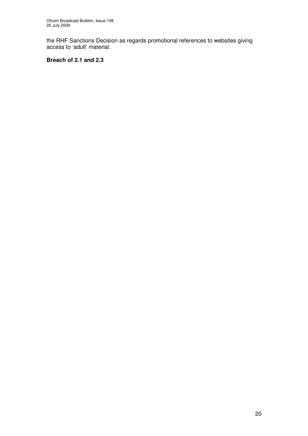the RHF Sanctions Decision as regards promotional references to websites giving access to 'adult' material.

## **Breach of 2.1 and 2.3**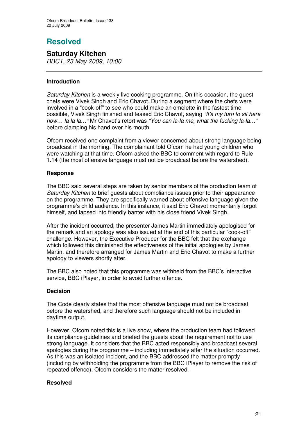# **Resolved**

**Saturday Kitchen** *BBC1, 23 May 2009, 10:00*

## **Introduction**

*Saturday Kitchen* is a weekly live cooking programme. On this occasion, the guest chefs were Vivek Singh and Eric Chavot. During a segment where the chefs were involved in a "cook-off" to see who could make an omelette in the fastest time possible, Vivek Singh finished and teased Eric Chavot, saying *"It's my turn to sit here now… la la la…"* Mr Chavot's retort was *"You can la-la me, what the fucking la-la…"* before clamping his hand over his mouth.

Ofcom received one complaint from a viewer concerned about strong language being broadcast in the morning. The complainant told Ofcom he had young children who were watching at that time. Ofcom asked the BBC to comment with regard to Rule 1.14 (the most offensive language must not be broadcast before the watershed).

## **Response**

The BBC said several steps are taken by senior members of the production team of *Saturday Kitchen* to brief guests about compliance issues prior to their appearance on the programme. They are specifically warned about offensive language given the programme's child audience. In this instance, it said Eric Chavot momentarily forgot himself, and lapsed into friendly banter with his close friend Vivek Singh.

After the incident occurred, the presenter James Martin immediately apologised for the remark and an apology was also issued at the end of this particular "cook-off" challenge. However, the Executive Producer for the BBC felt that the exchange which followed this diminished the effectiveness of the initial apologies by James Martin, and therefore arranged for James Martin and Eric Chavot to make a further apology to viewers shortly after.

The BBC also noted that this programme was withheld from the BBC's interactive service, BBC iPlayer, in order to avoid further offence.

## **Decision**

The Code clearly states that the most offensive language must not be broadcast before the watershed, and therefore such language should not be included in daytime output.

However, Ofcom noted this is a live show, where the production team had followed its compliance guidelines and briefed the guests about the requirement not to use strong language. It considers that the BBC acted responsibly and broadcast several apologies during the programme – including immediately after the situation occurred. As this was an isolated incident, and the BBC addressed the matter promptly (including by withholding the programme from the BBC iPlayer to remove the risk of repeated offence), Ofcom considers the matter resolved.

## **Resolved**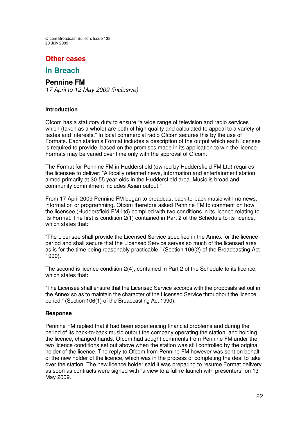## **Other cases**

## **In Breach**

## **Pennine FM**

*17 April to 12 May 2009 (inclusive)*

## **Introduction**

Ofcom has a statutory duty to ensure "a wide range of television and radio services which (taken as a whole) are both of high quality and calculated to appeal to a variety of tastes and interests." In local commercial radio Ofcom secures this by the use of Formats. Each station's Format includes a description of the output which each licensee is required to provide, based on the promises made in its application to win the licence. Formats may be varied over time only with the approval of Ofcom.

The Format for Pennine FM in Huddersfield (owned by Huddersfield FM Ltd) requires the licensee to deliver: "A locally oriented news, information and entertainment station aimed primarily at 30-55 year-olds in the Huddersfield area. Music is broad and community commitment includes Asian output."

From 17 April 2009 Pennine FM began to broadcast back-to-back music with no news, information or programming. Ofcom therefore asked Pennine FM to comment on how the licensee (Huddersfield FM Ltd) complied with two conditions in its licence relating to its Format. The first is condition 2(1) contained in Part 2 of the Schedule to its licence, which states that:

"The Licensee shall provide the Licensed Service specified in the Annex for the licence period and shall secure that the Licensed Service serves so much of the licensed area as is for the time being reasonably practicable." (Section 106(2) of the Broadcasting Act 1990).

The second is licence condition 2(4), contained in Part 2 of the Schedule to its licence, which states that:

"The Licensee shall ensure that the Licensed Service accords with the proposals set out in the Annex so as to maintain the character of the Licensed Service throughout the licence period." (Section 106(1) of the Broadcasting Act 1990).

## **Response**

Pennine FM replied that it had been experiencing financial problems and during the period of its back-to-back music output the company operating the station, and holding the licence, changed hands. Ofcom had sought comments from Pennine FM under the two licence conditions set out above when the station was still controlled by the original holder of the licence. The reply to Ofcom from Pennine FM however was sent on behalf of the new holder of the licence, which was in the process of completing the deal to take over the station. The new licence holder said it was preparing to resume Format delivery as soon as contracts were signed with "a view to a full re-launch with presenters" on 13 May 2009.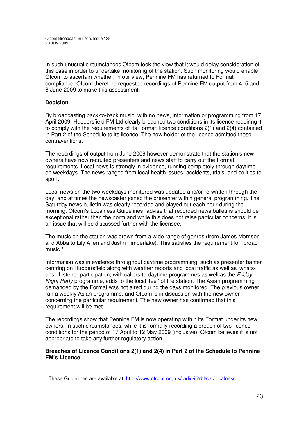In such unusual circumstances Ofcom took the view that it would delay consideration of this case in order to undertake monitoring of the station. Such monitoring would enable Ofcom to ascertain whether, in our view, Pennine FM has returned to Format compliance. Ofcom therefore requested recordings of Pennine FM output from 4, 5 and 6 June 2009 to make this assessment.

## **Decision**

By broadcasting back-to-back music, with no news, information or programming from 17 April 2009, Huddersfield FM Ltd clearly breached two conditions in its licence requiring it to comply with the requirements of its Format: licence conditions 2(1) and 2(4) contained in Part 2 of the Schedule to its licence. The new holder of the licence admitted these contraventions.

The recordings of output from June 2009 however demonstrate that the station's new owners have now recruited presenters and news staff to carry out the Format requirements. Local news is strongly in evidence, running completely through daytime on weekdays. The news ranged from local health issues, accidents, trials, and politics to sport.

Local news on the two weekdays monitored was updated and/or re-written through the day, and at times the newscaster joined the presenter within general programming. The Saturday news bulletin was clearly recorded and played out each hour during the morning. Ofcom's Localness Guidelines<sup>1</sup> advise that recorded news bulletins should be exceptional rather than the norm and while this does not raise particular concerns, it is an issue that will be discussed further with the licensee.

The music on the station was drawn from a wide range of genres (from James Morrison and Abba to Lily Allen and Justin Timberlake). This satisfies the requirement for "broad music."

Information was in evidence throughout daytime programming, such as presenter banter centring on Huddersfield along with weather reports and local traffic as well as 'whatsons'. Listener participation, with callers to daytime programmes as well as the *Friday Night Party* programme, adds to the local 'feel' of the station. The Asian programming demanded by the Format was not aired during the days monitored. The previous owner ran a weekly Asian programme, and Ofcom is in discussion with the new owner concerning the particular requirement. The new owner has confirmed that this requirement will be met.

The recordings show that Pennine FM is now operating within its Format under its new owners. In such circumstances, while it is formally recording a breach of two licence conditions for the period of 17 April to 12 May 2009 (inclusive), Ofcom believes it is not appropriate to take any further regulatory action.

## **Breaches of Licence Conditions 2(1) and 2(4) in Part 2 of the Schedule to Pennine FM's Licence**

<sup>&</sup>lt;sup>1</sup> These Guidelines are available at: http://www.ofcom.org.uk/radio/ifi/rbl/car/localness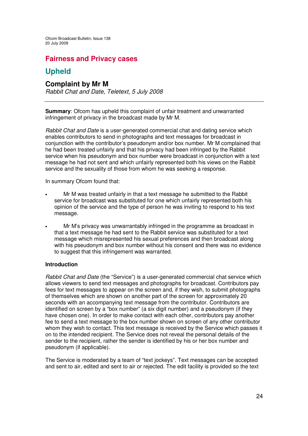## **Fairness and Privacy cases**

## **Upheld**

## **Complaint by Mr M**

*Rabbit Chat and Date, Teletext, 5 July 2008*

**Summary**: Ofcom has upheld this complaint of unfair treatment and unwarranted infringement of privacy in the broadcast made by Mr M.

*Rabbit Chat and Date* is a user-generated commercial chat and dating service which enables contributors to send in photographs and text messages for broadcast in conjunction with the contributor's pseudonym and/or box number. Mr M complained that he had been treated unfairly and that his privacy had been infringed by the Rabbit service when his pseudonym and box number were broadcast in conjunction with a text message he had not sent and which unfairly represented both his views on the Rabbit service and the sexuality of those from whom he was seeking a response.

In summary Ofcom found that:

- Mr M was treated unfairly in that a text message he submitted to the Rabbit service for broadcast was substituted for one which unfairly represented both his opinion of the service and the type of person he was inviting to respond to his text message.
- Mr M's privacy was unwarrantably infringed in the programme as broadcast in that a text message he had sent to the Rabbit service was substituted for a text message which misrepresented his sexual preferences and then broadcast along with his pseudonym and box number without his consent and there was no evidence to suggest that this infringement was warranted.

## **Introduction**

*Rabbit Chat and Date* (the "Service") is a user-generated commercial chat service which allows viewers to send text messages and photographs for broadcast. Contributors pay fees for text messages to appear on the screen and, if they wish, to submit photographs of themselves which are shown on another part of the screen for approximately 20 seconds with an accompanying text message from the contributor. Contributors are identified on screen by a "box number" (a six digit number) and a pseudonym (if they have chosen one). In order to make contact with each other, contributors pay another fee to send a text message to the box number shown on screen of any other contributor whom they wish to contact. This text message is received by the Service which passes it on to the intended recipient. The Service does not reveal the personal details of the sender to the recipient, rather the sender is identified by his or her box number and pseudonym (if applicable).

The Service is moderated by a team of "text jockeys". Text messages can be accepted and sent to air, edited and sent to air or rejected. The edit facility is provided so the text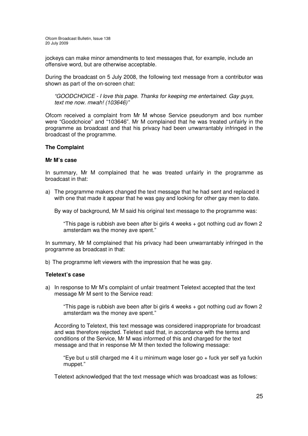jockeys can make minor amendments to text messages that, for example, include an offensive word, but are otherwise acceptable.

During the broadcast on 5 July 2008, the following text message from a contributor was shown as part of the on-screen chat:

*"GOODCHOICE - I love this page. Thanks for keeping me entertained. Gay guys, text me now. mwah! (103646)"*

Ofcom received a complaint from Mr M whose Service pseudonym and box number were "Goodchoice" and "103646". Mr M complained that he was treated unfairly in the programme as broadcast and that his privacy had been unwarrantably infringed in the broadcast of the programme.

#### **The Complaint**

#### **Mr M's case**

In summary, Mr M complained that he was treated unfairly in the programme as broadcast in that:

a) The programme makers changed the text message that he had sent and replaced it with one that made it appear that he was gay and looking for other gay men to date.

By way of background, Mr M said his original text message to the programme was:

"This page is rubbish ave been after bi girls 4 weeks + got nothing cud av flown 2 amsterdam wa the money ave spent."

In summary, Mr M complained that his privacy had been unwarrantably infringed in the programme as broadcast in that:

b) The programme left viewers with the impression that he was gay.

#### **Teletext's case**

a) In response to Mr M's complaint of unfair treatment Teletext accepted that the text message Mr M sent to the Service read:

"This page is rubbish ave been after bi girls 4 weeks + got nothing cud av flown 2 amsterdam wa the money ave spent."

According to Teletext, this text message was considered inappropriate for broadcast and was therefore rejected. Teletext said that, in accordance with the terms and conditions of the Service, Mr M was informed of this and charged for the text message and that in response Mr M then texted the following message:

"Eye but u still charged me 4 it u minimum wage loser go + fuck yer self ya fuckin muppet."

Teletext acknowledged that the text message which was broadcast was as follows: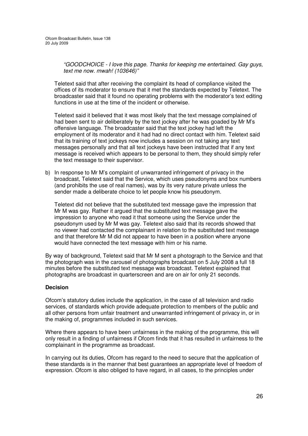*"GOODCHOICE - I love this page. Thanks for keeping me entertained. Gay guys, text me now. mwah! (103646)"*

Teletext said that after receiving the complaint its head of compliance visited the offices of its moderator to ensure that it met the standards expected by Teletext. The broadcaster said that it found no operating problems with the moderator's text editing functions in use at the time of the incident or otherwise.

Teletext said it believed that it was most likely that the text message complained of had been sent to air deliberately by the text jockey after he was goaded by Mr M's offensive language. The broadcaster said that the text jockey had left the employment of its moderator and it had had no direct contact with him. Teletext said that its training of text jockeys now includes a session on not taking any text messages personally and that all text jockeys have been instructed that if any text message is received which appears to be personal to them, they should simply refer the text message to their supervisor.

b) In response to Mr M's complaint of unwarranted infringement of privacy in the broadcast, Teletext said that the Service, which uses pseudonyms and box numbers (and prohibits the use of real names), was by its very nature private unless the sender made a deliberate choice to let people know his pseudonym.

Teletext did not believe that the substituted text message gave the impression that Mr M was gay. Rather it argued that the substituted text message gave the impression to anyone who read it that someone using the Service under the pseudonym used by Mr M was gay. Teletext also said that its records showed that no viewer had contacted the complainant in relation to the substituted text message and that therefore Mr M did not appear to have been in a position where anyone would have connected the text message with him or his name.

By way of background, Teletext said that Mr M sent a photograph to the Service and that the photograph was in the carousel of photographs broadcast on 5 July 2008 a full 18 minutes before the substituted text message was broadcast. Teletext explained that photographs are broadcast in quarterscreen and are on air for only 21 seconds.

## **Decision**

Ofcom's statutory duties include the application, in the case of all television and radio services, of standards which provide adequate protection to members of the public and all other persons from unfair treatment and unwarranted infringement of privacy in, or in the making of, programmes included in such services.

Where there appears to have been unfairness in the making of the programme, this will only result in a finding of unfairness if Ofcom finds that it has resulted in unfairness to the complainant in the programme as broadcast.

In carrying out its duties, Ofcom has regard to the need to secure that the application of these standards is in the manner that best guarantees an appropriate level of freedom of expression. Ofcom is also obliged to have regard, in all cases, to the principles under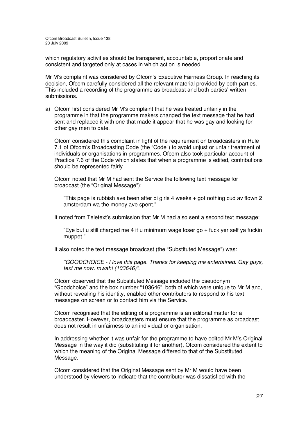which regulatory activities should be transparent, accountable, proportionate and consistent and targeted only at cases in which action is needed.

Mr M's complaint was considered by Ofcom's Executive Fairness Group. In reaching its decision, Ofcom carefully considered all the relevant material provided by both parties. This included a recording of the programme as broadcast and both parties' written submissions.

a) Ofcom first considered Mr M's complaint that he was treated unfairly in the programme in that the programme makers changed the text message that he had sent and replaced it with one that made it appear that he was gay and looking for other gay men to date.

Ofcom considered this complaint in light of the requirement on broadcasters in Rule 7.1 of Ofcom's Broadcasting Code (the "Code") to avoid unjust or unfair treatment of individuals or organisations in programmes. Ofcom also took particular account of Practice 7.6 of the Code which states that when a programme is edited, contributions should be represented fairly.

Ofcom noted that Mr M had sent the Service the following text message for broadcast (the "Original Message"):

"This page is rubbish ave been after bi girls 4 weeks + got nothing cud av flown 2 amsterdam wa the money ave spent."

It noted from Teletext's submission that Mr M had also sent a second text message:

"Eye but u still charged me 4 it u minimum wage loser go + fuck yer self ya fuckin muppet."

It also noted the text message broadcast (the "Substituted Message") was:

*"GOODCHOICE - I love this page. Thanks for keeping me entertained. Gay guys, text me now. mwah! (103646)"*.

Ofcom observed that the Substituted Message included the pseudonym "Goodchoice" and the box number "103646"*,* both of which were unique to Mr M and, without revealing his identity, enabled other contributors to respond to his text messages on screen or to contact him via the Service.

Ofcom recognised that the editing of a programme is an editorial matter for a broadcaster. However, broadcasters must ensure that the programme as broadcast does not result in unfairness to an individual or organisation.

In addressing whether it was unfair for the programme to have edited Mr M's Original Message in the way it did (substituting it for another), Ofcom considered the extent to which the meaning of the Original Message differed to that of the Substituted Message.

Ofcom considered that the Original Message sent by Mr M would have been understood by viewers to indicate that the contributor was dissatisfied with the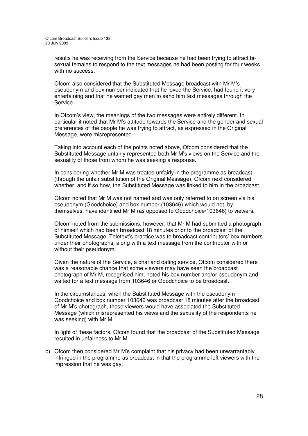results he was receiving from the Service because he had been trying to attract bisexual females to respond to the text messages he had been posting for four weeks with no success.

Ofcom also considered that the Substituted Message broadcast with Mr M's pseudonym and box number indicated that he loved the Service, had found it very entertaining and that he wanted gay men to send him text messages through the Service.

In Ofcom's view, the meanings of the two messages were entirely different. In particular it noted that Mr M's attitude towards the Service and the gender and sexual preferences of the people he was trying to attract, as expressed in the Original Message, were misrepresented.

Taking into account each of the points noted above, Ofcom considered that the Substituted Message unfairly represented both Mr M's views on the Service and the sexuality of those from whom he was seeking a response.

In considering whether Mr M was treated unfairly in the programme as broadcast (through the unfair substitution of the Original Message), Ofcom next considered whether, and if so how, the Substituted Message was linked to him in the broadcast.

Ofcom noted that Mr M was not named and was only referred to on screen via his pseudonym (Goodchoice) and box number (103646) which would not, by themselves, have identified Mr M (as opposed to Goodchoice/103646) to viewers.

Ofcom noted from the submissions, however, that Mr M had submitted a photograph of himself which had been broadcast 18 minutes prior to the broadcast of the Substituted Message. Teletext's practice was to broadcast contributors' box numbers under their photographs, along with a text message from the contributor with or without their pseudonym.

Given the nature of the Service, a chat and dating service, Ofcom considered there was a reasonable chance that some viewers may have seen the broadcast photograph of Mr M, recognised him, noted his box number and/or pseudonym and waited for a text message from 103646 or Goodchoice to be broadcast.

In the circumstances, when the Substituted Message with the pseudonym Goodchoice and box number 103646 was broadcast 18 minutes after the broadcast of Mr M's photograph, those viewers would have associated the Substituted Message (which misrepresented his views and the sexuality of the respondents he was seeking) with Mr M.

In light of these factors, Ofcom found that the broadcast of the Substituted Message resulted in unfairness to Mr M.

b) Ofcom then considered Mr M's complaint that his privacy had been unwarrantably infringed in the programme as broadcast in that the programme left viewers with the impression that he was gay.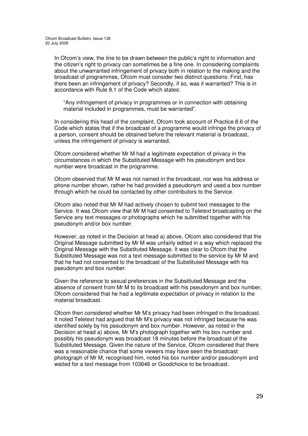In Ofcom's view, the line to be drawn between the public's right to information and the citizen's right to privacy can sometimes be a fine one. In considering complaints about the unwarranted infringement of privacy both in relation to the making and the broadcast of programmes, Ofcom must consider two distinct questions: First, has there been an infringement of privacy? Secondly, if so, was it warranted? This is in accordance with Rule 8.1 of the Code which states:

"Any infringement of privacy in programmes or in connection with obtaining material included in programmes, must be warranted".

In considering this head of the complaint, Ofcom took account of Practice 8.6 of the Code which states that if the broadcast of a programme would infringe the privacy of a person, consent should be obtained before the relevant material is broadcast, unless the infringement of privacy is warranted.

Ofcom considered whether Mr M had a legitimate expectation of privacy in the circumstances in which the Substituted Message with his pseudonym and box number were broadcast in the programme.

Ofcom observed that Mr M was not named in the broadcast, nor was his address or phone number shown, rather he had provided a pseudonym and used a box number through which he could be contacted by other contributors to the Service.

Ofcom also noted that Mr M had actively chosen to submit text messages to the Service. It was Ofcom view that Mr M had consented to Teletext broadcasting on the Service any text messages or photographs which he submitted together with his pseudonym and/or box number.

However, as noted in the Decision at head a) above, Ofcom also considered that the Original Message submitted by Mr M was unfairly edited in a way which replaced the Original Message with the Substituted Message. It was clear to Ofcom that the Substituted Message was not a text message submitted to the service by Mr M and that he had not consented to the broadcast of the Substituted Message with his pseudonym and box number.

Given the reference to sexual preferences in the Substituted Message and the absence of consent from Mr M to its broadcast with his pseudonym and box number, Ofcom considered that he had a legitimate expectation of privacy in relation to the material broadcast.

Ofcom then considered whether Mr M's privacy had been infringed in the broadcast. It noted Teletext had argued that Mr M's privacy was not infringed because he was identified solely by his pseudonym and box number. However, as noted in the Decision at head a) above, Mr M's photograph together with his box number and possibly his pseudonym was broadcast 18 minutes before the broadcast of the Substituted Message. Given the nature of the Service, Ofcom considered that there was a reasonable chance that some viewers may have seen the broadcast photograph of Mr M, recognised him, noted his box number and/or pseudonym and waited for a text message from 103646 or Goodchoice to be broadcast.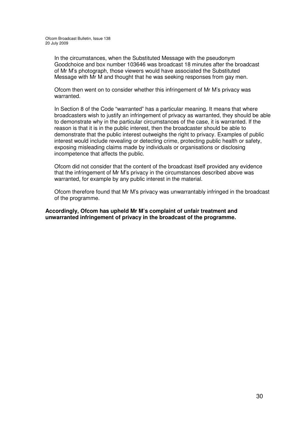In the circumstances, when the Substituted Message with the pseudonym Goodchoice and box number 103646 was broadcast 18 minutes after the broadcast of Mr M's photograph, those viewers would have associated the Substituted Message with Mr M and thought that he was seeking responses from gay men.

Ofcom then went on to consider whether this infringement of Mr M's privacy was warranted.

In Section 8 of the Code "warranted" has a particular meaning. It means that where broadcasters wish to justify an infringement of privacy as warranted, they should be able to demonstrate why in the particular circumstances of the case, it is warranted. If the reason is that it is in the public interest, then the broadcaster should be able to demonstrate that the public interest outweighs the right to privacy. Examples of public interest would include revealing or detecting crime, protecting public health or safety, exposing misleading claims made by individuals or organisations or disclosing incompetence that affects the public.

Ofcom did not consider that the content of the broadcast itself provided any evidence that the infringement of Mr M's privacy in the circumstances described above was warranted, for example by any public interest in the material.

Ofcom therefore found that Mr M's privacy was unwarrantably infringed in the broadcast of the programme.

**Accordingly, Ofcom has upheld Mr M's complaint of unfair treatment and unwarranted infringement of privacy in the broadcast of the programme.**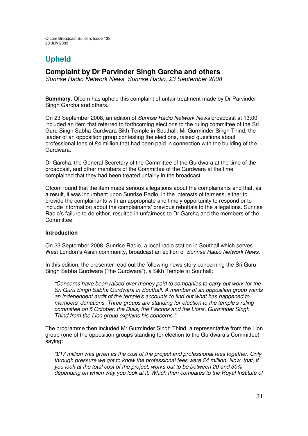# **Upheld**

## **Complaint by Dr Parvinder Singh Garcha and others**

*Sunrise Radio Network News, Sunrise Radio, 23 September 2008*

**Summary**: Ofcom has upheld this complaint of unfair treatment made by Dr Parvinder Singh Garcha and others.

On 23 September 2008, an edition of *Sunrise Radio Network News* broadcast at 13:00 included an item that referred to forthcoming elections to the ruling committee of the Sri Guru Singh Sabha Gurdwara Sikh Temple in Southall. Mr Gurminder Singh Thind, the leader of an opposition group contesting the elections, raised questions about professional fees of £4 million that had been paid in connection with the building of the Gurdwara.

Dr Garcha, the General Secretary of the Committee of the Gurdwara at the time of the broadcast, and other members of the Committee of the Gurdwara at the time complained that they had been treated unfairly in the broadcast.

Ofcom found that the item made serious allegations about the complainants and that, as a result, it was incumbent upon Sunrise Radio, in the interests of fairness, either to provide the complainants with an appropriate and timely opportunity to respond or to include information about the complainants' previous rebuttals to the allegations. Sunrise Radio's failure to do either, resulted in unfairness to Dr Garcha and the members of the Committee.

## **Introduction**

On 23 September 2008, Sunrise Radio, a local radio station in Southall which serves West London's Asian community, broadcast an edition of *Sunrise Radio Network News.*

In this edition, the presenter read out the following news story concerning the Sri Guru Singh Sabha Gurdwara ("the Gurdwara"), a Sikh Temple in Southall:

*"Concerns have been raised over money paid to companies to carry out work for the Sri Guru Singh Sabha Gurdwara in Southall. A member of an opposition group wants an independent audit of the temple's accounts to find out what has happened to members' donations. Three groups are standing for election to the temple's ruling committee on 5 October: the Bulls, the Falcons and the Lions. Gurminder Singh Thind from the Lion group explains his concerns."*

The programme then included Mr Gurminder Singh Thind, a representative from the Lion group (one of the opposition groups standing for election to the Gurdwara's Committee) saying:

*"£17 million was given as the cost of the project and professional fees together. Only through pressure we got to know the professional fees were £4 million. Now, that, if you look at the total cost of the project, works out to be between 20 and 30% depending on which way you look at it. Which then compares to the Royal Institute of*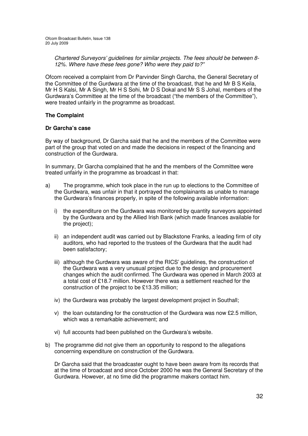*Chartered Surveyors' guidelines for similar projects. The fees should be between 8- 12%. Where have these fees gone? Who were they paid to?"*

Ofcom received a complaint from Dr Parvinder Singh Garcha, the General Secretary of the Committee of the Gurdwara at the time of the broadcast, that he and Mr B S Keila, Mr H S Kalsi, Mr A Singh, Mr H S Sohi, Mr D S Dokal and Mr S S Johal, members of the Gurdwara's Committee at the time of the broadcast ("the members of the Committee"), were treated unfairly in the programme as broadcast.

## **The Complaint**

## **Dr Garcha's case**

By way of background, Dr Garcha said that he and the members of the Committee were part of the group that voted on and made the decisions in respect of the financing and construction of the Gurdwara.

In summary, Dr Garcha complained that he and the members of the Committee were treated unfairly in the programme as broadcast in that:

- a) The programme, which took place in the run up to elections to the Committee of the Gurdwara, was unfair in that it portrayed the complainants as unable to manage the Gurdwara's finances properly, in spite of the following available information:
	- i) the expenditure on the Gurdwara was monitored by quantity surveyors appointed by the Gurdwara and by the Allied Irish Bank (which made finances available for the project);
	- ii) an independent audit was carried out by Blackstone Franks, a leading firm of city auditors, who had reported to the trustees of the Gurdwara that the audit had been satisfactory;
	- iii) although the Gurdwara was aware of the RICS' guidelines, the construction of the Gurdwara was a very unusual project due to the design and procurement changes which the audit confirmed. The Gurdwara was opened in March 2003 at a total cost of £18.7 million. However there was a settlement reached for the construction of the project to be £13.35 million;
	- iv) the Gurdwara was probably the largest development project in Southall;
	- v) the loan outstanding for the construction of the Gurdwara was now £2.5 million, which was a remarkable achievement; and
	- vi) full accounts had been published on the Gurdwara's website.
- b) The programme did not give them an opportunity to respond to the allegations concerning expenditure on construction of the Gurdwara.

Dr Garcha said that the broadcaster ought to have been aware from its records that at the time of broadcast and since October 2000 he was the General Secretary of the Gurdwara. However, at no time did the programme makers contact him.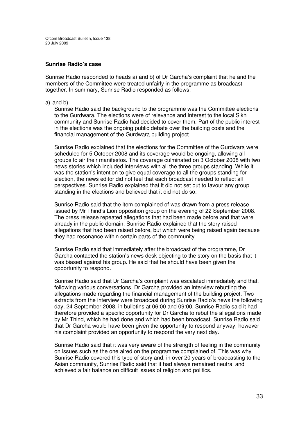#### **Sunrise Radio's case**

Sunrise Radio responded to heads a) and b) of Dr Garcha's complaint that he and the members of the Committee were treated unfairly in the programme as broadcast together. In summary, Sunrise Radio responded as follows:

#### a) and b)

Sunrise Radio said the background to the programme was the Committee elections to the Gurdwara. The elections were of relevance and interest to the local Sikh community and Sunrise Radio had decided to cover them. Part of the public interest in the elections was the ongoing public debate over the building costs and the financial management of the Gurdwara building project.

Sunrise Radio explained that the elections for the Committee of the Gurdwara were scheduled for 5 October 2008 and its coverage would be ongoing, allowing all groups to air their manifestos. The coverage culminated on 3 October 2008 with two news stories which included interviews with all the three groups standing. While it was the station's intention to give equal coverage to all the groups standing for election, the news editor did not feel that each broadcast needed to reflect all perspectives. Sunrise Radio explained that it did not set out to favour any group standing in the elections and believed that it did not do so.

Sunrise Radio said that the item complained of was drawn from a press release issued by Mr Thind's Lion opposition group on the evening of 22 September 2008. The press release repeated allegations that had been made before and that were already in the public domain. Sunrise Radio explained that the story raised allegations that had been raised before, but which were being raised again because they had resonance within certain parts of the community.

Sunrise Radio said that immediately after the broadcast of the programme, Dr Garcha contacted the station's news desk objecting to the story on the basis that it was biased against his group. He said that he should have been given the opportunity to respond.

Sunrise Radio said that Dr Garcha's complaint was escalated immediately and that, following various conversations, Dr Garcha provided an interview rebutting the allegations made regarding the financial management of the building project. Two extracts from the interview were broadcast during Sunrise Radio's news the following day, 24 September 2008, in bulletins at 06:00 and 09:00. Sunrise Radio said it had therefore provided a specific opportunity for Dr Garcha to rebut the allegations made by Mr Thind, which he had done and which had been broadcast. Sunrise Radio said that Dr Garcha would have been given the opportunity to respond anyway, however his complaint provided an opportunity to respond the very next day.

Sunrise Radio said that it was very aware of the strength of feeling in the community on issues such as the one aired on the programme complained of. This was why Sunrise Radio covered this type of story and, in over 20 years of broadcasting to the Asian community, Sunrise Radio said that it had always remained neutral and achieved a fair balance on difficult issues of religion and politics.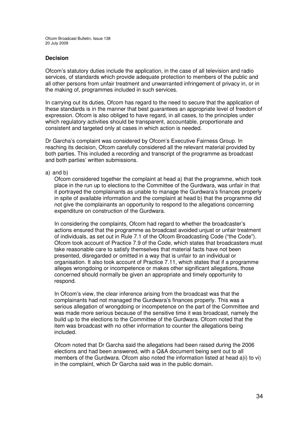## **Decision**

Ofcom's statutory duties include the application, in the case of all television and radio services, of standards which provide adequate protection to members of the public and all other persons from unfair treatment and unwarranted infringement of privacy in, or in the making of, programmes included in such services.

In carrying out its duties, Ofcom has regard to the need to secure that the application of these standards is in the manner that best guarantees an appropriate level of freedom of expression. Ofcom is also obliged to have regard, in all cases, to the principles under which regulatory activities should be transparent, accountable, proportionate and consistent and targeted only at cases in which action is needed.

Dr Garcha's complaint was considered by Ofcom's Executive Fairness Group. In reaching its decision, Ofcom carefully considered all the relevant material provided by both parties. This included a recording and transcript of the programme as broadcast and both parties' written submissions.

a) and b)

Ofcom considered together the complaint at head a) that the programme, which took place in the run up to elections to the Committee of the Gurdwara, was unfair in that it portrayed the complainants as unable to manage the Gurdwara's finances properly in spite of available information and the complaint at head b) that the programme did not give the complainants an opportunity to respond to the allegations concerning expenditure on construction of the Gurdwara.

In considering the complaints, Ofcom had regard to whether the broadcaster's actions ensured that the programme as broadcast avoided unjust or unfair treatment of individuals, as set out in Rule 7.1 of the Ofcom Broadcasting Code ("the Code"). Ofcom took account of Practice 7.9 of the Code, which states that broadcasters must take reasonable care to satisfy themselves that material facts have not been presented, disregarded or omitted in a way that is unfair to an individual or organisation. It also took account of Practice 7.11, which states that if a programme alleges wrongdoing or incompetence or makes other significant allegations, those concerned should normally be given an appropriate and timely opportunity to respond.

In Ofcom's view, the clear inference arising from the broadcast was that the complainants had not managed the Gurdwara's finances properly. This was a serious allegation of wrongdoing or incompetence on the part of the Committee and was made more serious because of the sensitive time it was broadcast, namely the build up to the elections to the Committee of the Gurdwara. Ofcom noted that the item was broadcast with no other information to counter the allegations being included.

Ofcom noted that Dr Garcha said the allegations had been raised during the 2006 elections and had been answered, with a Q&A document being sent out to all members of the Gurdwara. Ofcom also noted the information listed at head a)i) to vi) in the complaint, which Dr Garcha said was in the public domain.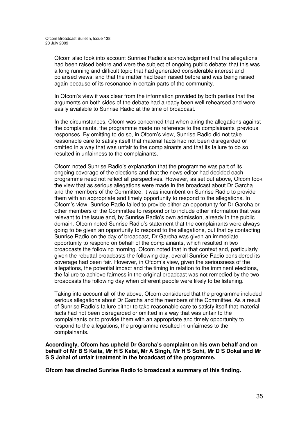Ofcom also took into account Sunrise Radio's acknowledgment that the allegations had been raised before and were the subject of ongoing public debate; that this was a long running and difficult topic that had generated considerable interest and polarised views; and that the matter had been raised before and was being raised again because of its resonance in certain parts of the community.

In Ofcom's view it was clear from the information provided by both parties that the arguments on both sides of the debate had already been well rehearsed and were easily available to Sunrise Radio at the time of broadcast.

In the circumstances, Ofcom was concerned that when airing the allegations against the complainants, the programme made no reference to the complainants' previous responses. By omitting to do so, in Ofcom's view, Sunrise Radio did not take reasonable care to satisfy itself that material facts had not been disregarded or omitted in a way that was unfair to the complainants and that its failure to do so resulted in unfairness to the complainants.

Ofcom noted Sunrise Radio's explanation that the programme was part of its ongoing coverage of the elections and that the news editor had decided each programme need not reflect all perspectives. However, as set out above, Ofcom took the view that as serious allegations were made in the broadcast about Dr Garcha and the members of the Committee, it was incumbent on Sunrise Radio to provide them with an appropriate and timely opportunity to respond to the allegations. In Ofcom's view, Sunrise Radio failed to provide either an opportunity for Dr Garcha or other members of the Committee to respond or to include other information that was relevant to the issue and, by Sunrise Radio's own admission, already in the public domain. Ofcom noted Sunrise Radio's statement that the complainants were always going to be given an opportunity to respond to the allegations, but that by contacting Sunrise Radio on the day of broadcast, Dr Garcha was given an immediate opportunity to respond on behalf of the complainants, which resulted in two broadcasts the following morning. Ofcom noted that in that context and, particularly given the rebuttal broadcasts the following day, overall Sunrise Radio considered its coverage had been fair. However, in Ofcom's view, given the seriousness of the allegations, the potential impact and the timing in relation to the imminent elections, the failure to achieve fairness in the original broadcast was not remedied by the two broadcasts the following day when different people were likely to be listening.

Taking into account all of the above, Ofcom considered that the programme included serious allegations about Dr Garcha and the members of the Committee. As a result of Sunrise Radio's failure either to take reasonable care to satisfy itself that material facts had not been disregarded or omitted in a way that was unfair to the complainants or to provide them with an appropriate and timely opportunity to respond to the allegations, the programme resulted in unfairness to the complainants.

**Accordingly, Ofcom has upheld Dr Garcha's complaint on his own behalf and on** behalf of Mr B S Keila, Mr H S Kalsi, Mr A Singh, Mr H S Sohi, Mr D S Dokal and Mr **S S Johal of unfair treatment in the broadcast of the programme.**

**Ofcom has directed Sunrise Radio to broadcast a summary of this finding.**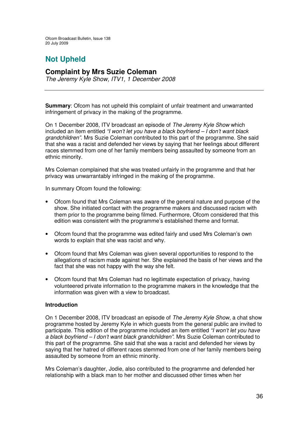# **Not Upheld**

## **Complaint by Mrs Suzie Coleman**

*The Jeremy Kyle Show, ITV1, 1 December 2008*

**Summary**: Ofcom has not upheld this complaint of unfair treatment and unwarranted infringement of privacy in the making of the programme.

On 1 December 2008, ITV broadcast an episode of *The Jeremy Kyle Show* which included an item entitled *"I won't let you have a black boyfriend – I don't want black grandchildren"*. Mrs Suzie Coleman contributed to this part of the programme. She said that she was a racist and defended her views by saying that her feelings about different races stemmed from one of her family members being assaulted by someone from an ethnic minority.

Mrs Coleman complained that she was treated unfairly in the programme and that her privacy was unwarrantably infringed in the making of the programme.

In summary Ofcom found the following:

- Ofcom found that Mrs Coleman was aware of the general nature and purpose of the show. She initiated contact with the programme makers and discussed racism with them prior to the programme being filmed. Furthermore, Ofcom considered that this edition was consistent with the programme's established theme and format.
- Ofcom found that the programme was edited fairly and used Mrs Coleman's own words to explain that she was racist and why.
- Ofcom found that Mrs Coleman was given several opportunities to respond to the allegations of racism made against her. She explained the basis of her views and the fact that she was not happy with the way she felt.
- Ofcom found that Mrs Coleman had no legitimate expectation of privacy, having volunteered private information to the programme makers in the knowledge that the information was given with a view to broadcast.

## **Introduction**

On 1 December 2008, ITV broadcast an episode of *The Jeremy Kyle Show*, a chat show programme hosted by Jeremy Kyle in which guests from the general public are invited to participate. This edition of the programme included an item entitled *"I won't let you have a black boyfriend – I don't want black grandchildren"*. Mrs Suzie Coleman contributed to this part of the programme. She said that she was a racist and defended her views by saying that her hatred of different races stemmed from one of her family members being assaulted by someone from an ethnic minority.

Mrs Coleman's daughter, Jodie, also contributed to the programme and defended her relationship with a black man to her mother and discussed other times when her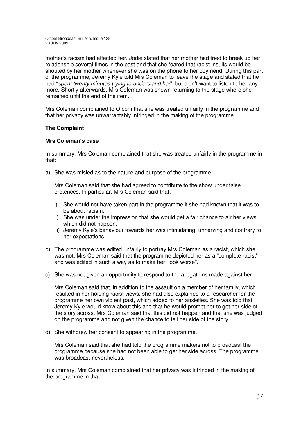mother's racism had affected her. Jodie stated that her mother had tried to break up her relationship several times in the past and that she feared that racist insults would be shouted by her mother whenever she was on the phone to her boyfriend. During this part of the programme, Jeremy Kyle told Mrs Coleman to leave the stage and stated that he had "*spent twenty minutes trying to understand her*", but didn't want to listen to her any more. Shortly afterwards, Mrs Coleman was shown returning to the stage where she remained until the end of the item.

Mrs Coleman complained to Ofcom that she was treated unfairly in the programme and that her privacy was unwarrantably infringed in the making of the programme.

## **The Complaint**

## **Mrs Coleman's case**

In summary, Mrs Coleman complained that she was treated unfairly in the programme in that:

a) She was misled as to the nature and purpose of the programme.

Mrs Coleman said that she had agreed to contribute to the show under false pretences. In particular, Mrs Coleman said that:

- i) She would not have taken part in the programme if she had known that it was to be about racism.
- ii) She was under the impression that she would get a fair chance to air her views, which did not happen.
- iii) Jeremy Kyle's behaviour towards her was intimidating, unnerving and contrary to her expectations.
- b) The programme was edited unfairly to portray Mrs Coleman as a racist, which she was not. Mrs Coleman said that the programme depicted her as a "complete racist" and was edited in such a way as to make her "look worse".
- c) She was not given an opportunity to respond to the allegations made against her.

Mrs Coleman said that, in addition to the assault on a member of her family, which resulted in her holding racist views, she had also explained to a researcher for the programme her own violent past, which added to her anxieties. She was told that Jeremy Kyle would know about this and that he would prompt her to get her side of the story across. Mrs Coleman said that this did not happen and that she was judged on the programme and not given the chance to tell her side of the story.

d) She withdrew her consent to appearing in the programme.

Mrs Coleman said that she had told the programme makers not to broadcast the programme because she had not been able to get her side across. The programme was broadcast nevertheless.

In summary, Mrs Coleman complained that her privacy was infringed in the making of the programme in that: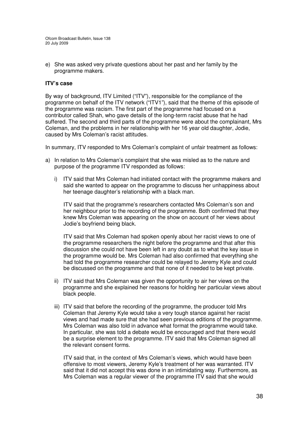e) She was asked very private questions about her past and her family by the programme makers.

## **ITV's case**

By way of background, ITV Limited ("ITV"), responsible for the compliance of the programme on behalf of the ITV network ("ITV1"), said that the theme of this episode of the programme was racism. The first part of the programme had focused on a contributor called Shah, who gave details of the long-term racist abuse that he had suffered. The second and third parts of the programme were about the complainant, Mrs Coleman, and the problems in her relationship with her 16 year old daughter, Jodie, caused by Mrs Coleman's racist attitudes.

In summary, ITV responded to Mrs Coleman's complaint of unfair treatment as follows:

- a) In relation to Mrs Coleman's complaint that she was misled as to the nature and purpose of the programme ITV responded as follows:
	- i) ITV said that Mrs Coleman had initiated contact with the programme makers and said she wanted to appear on the programme to discuss her unhappiness about her teenage daughter's relationship with a black man.

ITV said that the programme's researchers contacted Mrs Coleman's son and her neighbour prior to the recording of the programme. Both confirmed that they knew Mrs Coleman was appearing on the show on account of her views about Jodie's boyfriend being black.

ITV said that Mrs Coleman had spoken openly about her racist views to one of the programme researchers the night before the programme and that after this discussion she could not have been left in any doubt as to what the key issue in the programme would be. Mrs Coleman had also confirmed that everything she had told the programme researcher could be relayed to Jeremy Kyle and could be discussed on the programme and that none of it needed to be kept private.

- ii) ITV said that Mrs Coleman was given the opportunity to air her views on the programme and she explained her reasons for holding her particular views about black people.
- iii) ITV said that before the recording of the programme, the producer told Mrs Coleman that Jeremy Kyle would take a very tough stance against her racist views and had made sure that she had seen previous editions of the programme. Mrs Coleman was also told in advance what format the programme would take. In particular, she was told a debate would be encouraged and that there would be a surprise element to the programme. ITV said that Mrs Coleman signed all the relevant consent forms.

ITV said that, in the context of Mrs Coleman's views, which would have been offensive to most viewers, Jeremy Kyle's treatment of her was warranted. ITV said that it did not accept this was done in an intimidating way. Furthermore, as Mrs Coleman was a regular viewer of the programme ITV said that she would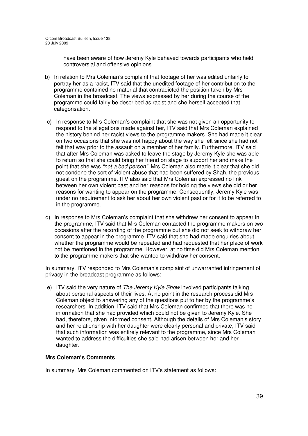have been aware of how Jeremy Kyle behaved towards participants who held controversial and offensive opinions.

- b) In relation to Mrs Coleman's complaint that footage of her was edited unfairly to portray her as a racist, ITV said that the unedited footage of her contribution to the programme contained no material that contradicted the position taken by Mrs Coleman in the broadcast. The views expressed by her during the course of the programme could fairly be described as racist and she herself accepted that categorisation.
- c) In response to Mrs Coleman's complaint that she was not given an opportunity to respond to the allegations made against her, ITV said that Mrs Coleman explained the history behind her racist views to the programme makers. She had made it clear on two occasions that she was not happy about the way she felt since she had not felt that way prior to the assault on a member of her family. Furthermore, ITV said that after Mrs Coleman was asked to leave the stage by Jeremy Kyle she was able to return so that she could bring her friend on stage to support her and make the point that she was *"not a bad person".* Mrs Coleman also made it clear that she did not condone the sort of violent abuse that had been suffered by Shah, the previous guest on the programme. ITV also said that Mrs Coleman expressed no link between her own violent past and her reasons for holding the views she did or her reasons for wanting to appear on the programme. Consequently, Jeremy Kyle was under no requirement to ask her about her own violent past or for it to be referred to in the programme.
- d) In response to Mrs Coleman's complaint that she withdrew her consent to appear in the programme, ITV said that Mrs Coleman contacted the programme makers on two occasions after the recording of the programme but she did not seek to withdraw her consent to appear in the programme. ITV said that she had made enquiries about whether the programme would be repeated and had requested that her place of work not be mentioned in the programme. However, at no time did Mrs Coleman mention to the programme makers that she wanted to withdraw her consent.

In summary, ITV responded to Mrs Coleman's complaint of unwarranted infringement of privacy in the broadcast programme as follows:

e) ITV said the very nature of *The Jeremy Kyle Show* involved participants talking about personal aspects of their lives. At no point in the research process did Mrs Coleman object to answering any of the questions put to her by the programme's researchers. In addition, ITV said that Mrs Coleman confirmed that there was no information that she had provided which could not be given to Jeremy Kyle. She had, therefore, given informed consent. Although the details of Mrs Coleman's story and her relationship with her daughter were clearly personal and private, ITV said that such information was entirely relevant to the programme, since Mrs Coleman wanted to address the difficulties she said had arisen between her and her daughter.

## **Mrs Coleman's Comments**

In summary, Mrs Coleman commented on ITV's statement as follows: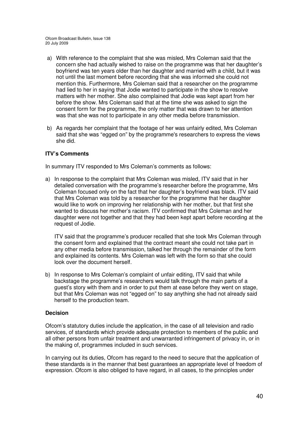- a) With reference to the complaint that she was misled, Mrs Coleman said that the concern she had actually wished to raise on the programme was that her daughter's boyfriend was ten years older than her daughter and married with a child, but it was not until the last moment before recording that she was informed she could not mention this. Furthermore, Mrs Coleman said that a researcher on the programme had lied to her in saying that Jodie wanted to participate in the show to resolve matters with her mother. She also complained that Jodie was kept apart from her before the show. Mrs Coleman said that at the time she was asked to sign the consent form for the programme, the only matter that was drawn to her attention was that she was not to participate in any other media before transmission.
- b) As regards her complaint that the footage of her was unfairly edited, Mrs Coleman said that she was "egged on" by the programme's researchers to express the views she did.

## **ITV's Comments**

In summary ITV responded to Mrs Coleman's comments as follows:

a) In response to the complaint that Mrs Coleman was misled, ITV said that in her detailed conversation with the programme's researcher before the programme, Mrs Coleman focused only on the fact that her daughter's boyfriend was black. ITV said that Mrs Coleman was told by a researcher for the programme that her daughter would like to work on improving her relationship with her mother, but that first she wanted to discuss her mother's racism. ITV confirmed that Mrs Coleman and her daughter were not together and that they had been kept apart before recording at the request of Jodie.

ITV said that the programme's producer recalled that she took Mrs Coleman through the consent form and explained that the contract meant she could not take part in any other media before transmission, talked her through the remainder of the form and explained its contents. Mrs Coleman was left with the form so that she could look over the document herself.

b) In response to Mrs Coleman's complaint of unfair editing, ITV said that while backstage the programme's researchers would talk through the main parts of a guest's story with them and in order to put them at ease before they went on stage, but that Mrs Coleman was not "egged on" to say anything she had not already said herself to the production team.

## **Decision**

Ofcom's statutory duties include the application, in the case of all television and radio services, of standards which provide adequate protection to members of the public and all other persons from unfair treatment and unwarranted infringement of privacy in, or in the making of, programmes included in such services.

In carrying out its duties, Ofcom has regard to the need to secure that the application of these standards is in the manner that best guarantees an appropriate level of freedom of expression. Ofcom is also obliged to have regard, in all cases, to the principles under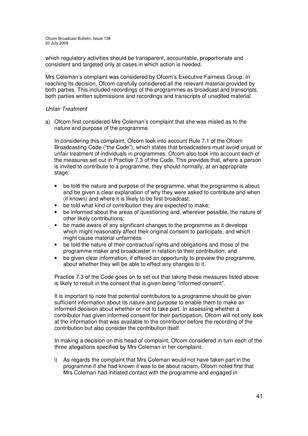which regulatory activities should be transparent, accountable, proportionate and consistent and targeted only at cases in which action is needed.

Mrs Coleman's complaint was considered by Ofcom's Executive Fairness Group. In reaching its decision, Ofcom carefully considered all the relevant material provided by both parties. This included recordings of the programmes as broadcast and transcripts, both parties written submissions and recordings and transcripts of unedited material.

## *Unfair Treatment*

a) Ofcom first considered Mrs Coleman's complaint that she was misled as to the nature and purpose of the programme.

In considering this complaint, Ofcom took into account Rule 7.1 of the Ofcom Broadcasting Code ("the Code"), which states that broadcasters must avoid unjust or unfair treatment of individuals in programmes. Ofcom also took into account each of the measures set out in Practice 7.3 of the Code. This provides that, where a person is invited to contribute to a programme, they should normally, at an appropriate stage:

- be told the nature and purpose of the programme, what the programme is about, and be given a clear explanation of why they were asked to contribute and when (if known) and where it is likely to be first broadcast;
- be told what kind of contribution they are expected to make;
- be informed about the areas of questioning and, wherever possible, the nature of other likely contributions;
- be made aware of any significant changes to the programme as it develops which might reasonably affect their original consent to participate, and which might cause material unfairness
- be told the nature of their contractual rights and obligations and those of the programme maker and broadcaster in relation to their contribution; and
- be given clear information, if offered an opportunity to preview the programme, about whether they will be able to effect any changes to it.

Practice 7.3 of the Code goes on to set out that taking these measures listed above is likely to result in the consent that is given being "informed consent".

It is important to note that potential contributors to a programme should be given sufficient information about its nature and purpose to enable them to make an informed decision about whether or not to take part. In assessing whether a contributor has given informed consent for their participation, Ofcom will not only look at the information that was available to the contributor before the recording of the contribution but also consider the contribution itself.

In making a decision on this head of complaint, Ofcom considered in turn each of the three allegations specified by Mrs Coleman in her complaint.

i) As regards the complaint that Mrs Coleman would not have taken part in the programme if she had known it was to be about racism, Ofcom noted first that Mrs Coleman had initiated contact with the programme and engaged in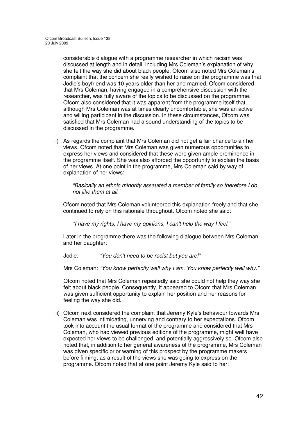considerable dialogue with a programme researcher in which racism was discussed at length and in detail, including Mrs Coleman's explanation of why she felt the way she did about black people. Ofcom also noted Mrs Coleman's complaint that the concern she really wished to raise on the programme was that Jodie's boyfriend was 10 years older than her and married. Ofcom considered that Mrs Coleman, having engaged in a comprehensive discussion with the researcher, was fully aware of the topics to be discussed on the programme. Ofcom also considered that it was apparent from the programme itself that, although Mrs Coleman was at times clearly uncomfortable, she was an active and willing participant in the discussion. In these circumstances, Ofcom was satisfied that Mrs Coleman had a sound understanding of the topics to be discussed in the programme.

ii) As regards the complaint that Mrs Coleman did not get a fair chance to air her views, Ofcom noted that Mrs Coleman was given numerous opportunities to express her views and considered that these were given ample prominence in the programme itself. She was also afforded the opportunity to explain the basis of her views. At one point in the programme, Mrs Coleman said by way of explanation of her views:

*"Basically an ethnic minority assaulted a member of family so therefore I do not like them at all."*

Ofcom noted that Mrs Coleman volunteered this explanation freely and that she continued to rely on this rationale throughout. Ofcom noted she said:

*"I have my rights, I have my opinions, I can't help the way I feel."*

Later in the programme there was the following dialogue between Mrs Coleman and her daughter:

Jodie: *"You don't need to be racist but you are!"*

Mrs Coleman: *"You know perfectly well why I am. You know perfectly well why."*

Ofcom noted that Mrs Coleman repeatedly said she could not help they way she felt about black people. Consequently, it appeared to Ofcom that Mrs Coleman was given sufficient opportunity to explain her position and her reasons for feeling the way she did.

iii) Ofcom next considered the complaint that Jeremy Kyle's behaviour towards Mrs Coleman was intimidating, unnerving and contrary to her expectations. Ofcom took into account the usual format of the programme and considered that Mrs Coleman, who had viewed previous editions of the programme, might well have expected her views to be challenged, and potentially aggressively so. Ofcom also noted that, in addition to her general awareness of the programme, Mrs Coleman was given specific prior warning of this prospect by the programme makers before filming, as a result of the views she was going to express on the programme. Ofcom noted that at one point Jeremy Kyle said to her: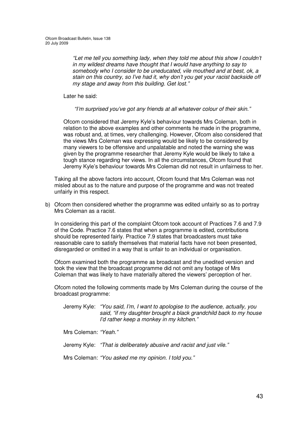*"Let me tell you something lady, when they told me about this show I couldn't in my wildest dreams have thought that I would have anything to say to somebody who I consider to be uneducated, vile mouthed and at best, ok, a stain on this country, so I've had it, why don't you get your racist backside off my stage and away from this building. Get lost."*

Later he said:

*"I'm surprised you've got any friends at all whatever colour of their skin."*

Ofcom considered that Jeremy Kyle's behaviour towards Mrs Coleman, both in relation to the above examples and other comments he made in the programme, was robust and, at times, very challenging. However, Ofcom also considered that the views Mrs Coleman was expressing would be likely to be considered by many viewers to be offensive and unpalatable and noted the warning she was given by the programme researcher that Jeremy Kyle would be likely to take a tough stance regarding her views. In all the circumstances, Ofcom found that Jeremy Kyle's behaviour towards Mrs Coleman did not result in unfairness to her.

Taking all the above factors into account, Ofcom found that Mrs Coleman was not misled about as to the nature and purpose of the programme and was not treated unfairly in this respect.

b) Ofcom then considered whether the programme was edited unfairly so as to portray Mrs Coleman as a racist.

In considering this part of the complaint Ofcom took account of Practices 7.6 and 7.9 of the Code. Practice 7.6 states that when a programme is edited, contributions should be represented fairly. Practice 7.9 states that broadcasters must take reasonable care to satisfy themselves that material facts have not been presented, disregarded or omitted in a way that is unfair to an individual or organisation.

Ofcom examined both the programme as broadcast and the unedited version and took the view that the broadcast programme did not omit any footage of Mrs Coleman that was likely to have materially altered the viewers' perception of her.

Ofcom noted the following comments made by Mrs Coleman during the course of the broadcast programme:

Jeremy Kyle: *"You said, I'm, I want to apologise to the audience, actually, you said, "if my daughter brought a black grandchild back to my house I'd rather keep a monkey in my kitchen."*

Mrs Coleman: *"Yeah."*

Jeremy Kyle: *"That is deliberately abusive and racist and just vile."*

Mrs Coleman: *"You asked me my opinion. I told you."*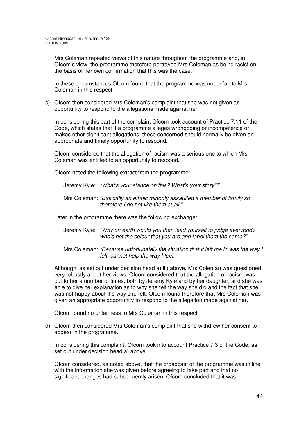Mrs Coleman repeated views of this nature throughout the programme and, in Ofcom's view, the programme therefore portrayed Mrs Coleman as being racist on the basis of her own confirmation that this was the case.

In these circumstances Ofcom found that the programme was not unfair to Mrs Coleman in this respect.

c) Ofcom then considered Mrs Coleman's complaint that she was not given an opportunity to respond to the allegations made against her.

In considering this part of the complaint Ofcom took account of Practice 7.11 of the Code, which states that if a programme alleges wrongdoing or incompetence or makes other significant allegations, those concerned should normally be given an appropriate and timely opportunity to respond.

Ofcom considered that the allegation of racism was a serious one to which Mrs Coleman was entitled to an opportunity to respond.

Ofcom noted the following extract from the programme:

Jeremy Kyle: *"What's your stance on this? What's your story?"*

Mrs Coleman: *"Basically an ethnic minority assaulted a member of family so therefore I do not like them at all."*

Later in the programme there was the following exchange:

- Jeremy Kyle: *"Why on earth would you then lead yourself to judge everybody who's not the colour that you are and label them the same?"*
- Mrs Coleman: *"Because unfortunately the situation that it left me in was the way I felt, cannot help the way I feel."*

Although, as set out under decision head a) iii) above, Mrs Coleman was questioned very robustly about her views, Ofcom considered that the allegation of racism was put to her a number of times, both by Jeremy Kyle and by her daughter, and she was able to give her explanation as to why she felt the way she did and the fact that she was not happy about the way she felt. Ofcom found therefore that Mrs Coleman was given an appropriate opportunity to respond to the allegation made against her.

Ofcom found no unfairness to Mrs Coleman in this respect.

d) Ofcom then considered Mrs Coleman's complaint that she withdrew her consent to appear in the programme.

In considering this complaint, Ofcom took into account Practice 7.3 of the Code, as set out under decision head a) above.

Ofcom considered, as noted above, that the broadcast of the programme was in line with the information she was given before agreeing to take part and that no significant changes had subsequently arisen. Ofcom concluded that it was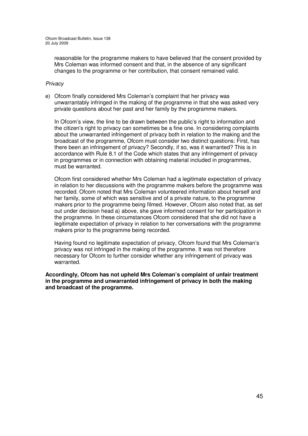reasonable for the programme makers to have believed that the consent provided by Mrs Coleman was informed consent and that, in the absence of any significant changes to the programme or her contribution, that consent remained valid.

## *Privacy*

e) Ofcom finally considered Mrs Coleman's complaint that her privacy was unwarrantably infringed in the making of the programme in that she was asked very private questions about her past and her family by the programme makers.

In Ofcom's view, the line to be drawn between the public's right to information and the citizen's right to privacy can sometimes be a fine one. In considering complaints about the unwarranted infringement of privacy both in relation to the making and the broadcast of the programme, Ofcom must consider two distinct questions: First, has there been an infringement of privacy? Secondly, if so, was it warranted? This is in accordance with Rule 8.1 of the Code which states that any infringement of privacy in programmes or in connection with obtaining material included in programmes, must be warranted.

Ofcom first considered whether Mrs Coleman had a legitimate expectation of privacy in relation to her discussions with the programme makers before the programme was recorded. Ofcom noted that Mrs Coleman volunteered information about herself and her family, some of which was sensitive and of a private nature, to the programme makers prior to the programme being filmed. However, Ofcom also noted that, as set out under decision head a) above, she gave informed consent for her participation in the programme. In these circumstances Ofcom considered that she did not have a legitimate expectation of privacy in relation to her conversations with the programme makers prior to the programme being recorded.

Having found no legitimate expectation of privacy, Ofcom found that Mrs Coleman's privacy was not infringed in the making of the programme. It was not therefore necessary for Ofcom to further consider whether any infringement of privacy was warranted.

**Accordingly, Ofcom has not upheld Mrs Coleman's complaint of unfair treatment in the programme and unwarranted infringement of privacy in both the making and broadcast of the programme.**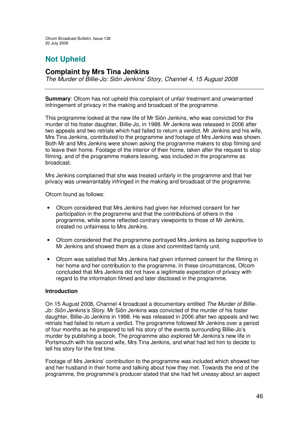# **Not Upheld**

## **Complaint by Mrs Tina Jenkins**

*The Murder of Billie-Jo: Siôn Jenkins' Story, Channel 4, 15 August 2008*

**Summary:** Ofcom has not upheld this complaint of unfair treatment and unwarranted infringement of privacy in the making and broadcast of the programme.

This programme looked at the new life of Mr Siôn Jenkins, who was convicted for the murder of his foster daughter, Billie-Jo, in 1988. Mr Jenkins was released in 2006 after two appeals and two retrials which had failed to return a verdict. Mr Jenkins and his wife, Mrs Tina Jenkins, contributed to the programme and footage of Mrs Jenkins was shown. Both Mr and Mrs Jenkins were shown asking the programme makers to stop filming and to leave their home. Footage of the interior of their home, taken after the request to stop filming, and of the programme makers leaving, was included in the programme as broadcast.

Mrs Jenkins complained that she was treated unfairly in the programme and that her privacy was unwarrantably infringed in the making and broadcast of the programme.

Ofcom found as follows:

- Ofcom considered that Mrs Jenkins had given her informed consent for her participation in the programme and that the contributions of others in the programme, while some reflected contrary viewpoints to those of Mr Jenkins, created no unfairness to Mrs Jenkins.
- Ofcom considered that the programme portrayed Mrs Jenkins as being supportive to Mr Jenkins and showed them as a close and committed family unit.
- Ofcom was satisfied that Mrs Jenkins had given informed consent for the filming in her home and her contribution to the programme. In these circumstances, Ofcom concluded that Mrs Jenkins did not have a legitimate expectation of privacy with regard to the information filmed and later disclosed in the programme.

## **Introduction**

On 15 August 2008, Channel 4 broadcast a documentary entitled *The Murder of Billie-Jo: Siôn Jenkins's Story*. Mr Siôn Jenkins was convicted of the murder of his foster daughter, Billie-Jo Jenkins in 1998. He was released in 2006 after two appeals and two retrials had failed to return a verdict. The programme followed Mr Jenkins over a period of four months as he prepared to tell his story of the events surrounding Billie-Jo's murder by publishing a book. The programme also explored Mr Jenkins's new life in Portsmouth with his second wife, Mrs Tina Jenkins, and what had led him to decide to tell his story for the first time.

Footage of Mrs Jenkins' contribution to the programme was included which showed her and her husband in their home and talking about how they met. Towards the end of the programme, the programme's producer stated that she had felt uneasy about an aspect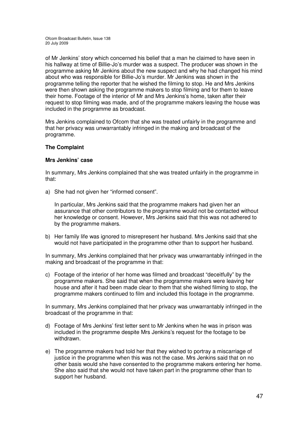of Mr Jenkins' story which concerned his belief that a man he claimed to have seen in his hallway at time of Billie-Jo's murder was a suspect. The producer was shown in the programme asking Mr Jenkins about the new suspect and why he had changed his mind about who was responsible for Billie-Jo's murder. Mr Jenkins was shown in the programme telling the reporter that he wished the filming to stop. He and Mrs Jenkins were then shown asking the programme makers to stop filming and for them to leave their home. Footage of the interior of Mr and Mrs Jenkins's home, taken after their request to stop filming was made, and of the programme makers leaving the house was included in the programme as broadcast.

Mrs Jenkins complained to Ofcom that she was treated unfairly in the programme and that her privacy was unwarrantably infringed in the making and broadcast of the programme.

## **The Complaint**

#### **Mrs Jenkins' case**

In summary, Mrs Jenkins complained that she was treated unfairly in the programme in that:

a) She had not given her "informed consent".

In particular, Mrs Jenkins said that the programme makers had given her an assurance that other contributors to the programme would not be contacted without her knowledge or consent. However, Mrs Jenkins said that this was not adhered to by the programme makers.

b) Her family life was ignored to misrepresent her husband. Mrs Jenkins said that she would not have participated in the programme other than to support her husband.

In summary, Mrs Jenkins complained that her privacy was unwarrantably infringed in the making and broadcast of the programme in that:

c) Footage of the interior of her home was filmed and broadcast "deceitfully" by the programme makers. She said that when the programme makers were leaving her house and after it had been made clear to them that she wished filming to stop, the programme makers continued to film and included this footage in the programme.

In summary, Mrs Jenkins complained that her privacy was unwarrantably infringed in the broadcast of the programme in that:

- d) Footage of Mrs Jenkins' first letter sent to Mr Jenkins when he was in prison was included in the programme despite Mrs Jenkins's request for the footage to be withdrawn.
- e) The programme makers had told her that they wished to portray a miscarriage of justice in the programme when this was not the case. Mrs Jenkins said that on no other basis would she have consented to the programme makers entering her home. She also said that she would not have taken part in the programme other than to support her husband.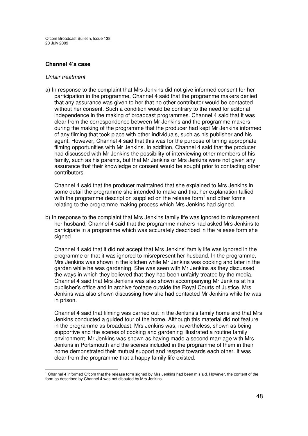### **Channel 4's case**

#### *Unfair treatment*

a) In response to the complaint that Mrs Jenkins did not give informed consent for her participation in the programme, Channel 4 said that the programme makers denied that any assurance was given to her that no other contributor would be contacted without her consent. Such a condition would be contrary to the need for editorial independence in the making of broadcast programmes. Channel 4 said that it was clear from the correspondence between Mr Jenkins and the programme makers during the making of the programme that the producer had kept Mr Jenkins informed of any filming that took place with other individuals, such as his publisher and his agent. However, Channel 4 said that this was for the purpose of timing appropriate filming opportunities with Mr Jenkins. In addition, Channel 4 said that the producer had discussed with Mr Jenkins the possibility of interviewing other members of his family, such as his parents, but that Mr Jenkins or Mrs Jenkins were not given any assurance that their knowledge or consent would be sought prior to contacting other contributors.

Channel 4 said that the producer maintained that she explained to Mrs Jenkins in some detail the programme she intended to make and that her explanation tallied with the programme description supplied on the release form<sup>1</sup> and other forms relating to the programme making process which Mrs Jenkins had signed.

b) In response to the complaint that Mrs Jenkins family life was ignored to misrepresent her husband, Channel 4 said that the programme makers had asked Mrs Jenkins to participate in a programme which was accurately described in the release form she signed.

Channel 4 said that it did not accept that Mrs Jenkins' family life was ignored in the programme or that it was ignored to misrepresent her husband. In the programme, Mrs Jenkins was shown in the kitchen while Mr Jenkins was cooking and later in the garden while he was gardening. She was seen with Mr Jenkins as they discussed the ways in which they believed that they had been unfairly treated by the media. Channel 4 said that Mrs Jenkins was also shown accompanying Mr Jenkins at his publisher's office and in archive footage outside the Royal Courts of Justice. Mrs Jenkins was also shown discussing how she had contacted Mr Jenkins while he was in prison.

Channel 4 said that filming was carried out in the Jenkins's family home and that Mrs Jenkins conducted a guided tour of the home. Although this material did not feature in the programme as broadcast, Mrs Jenkins was, nevertheless, shown as being supportive and the scenes of cooking and gardening illustrated a routine family environment. Mr Jenkins was shown as having made a second marriage with Mrs Jenkins in Portsmouth and the scenes included in the programme of them in their home demonstrated their mutual support and respect towards each other. It was clear from the programme that a happy family life existed.

<sup>1</sup> Channel 4 informed Ofcom that the release form signed by Mrs Jenkins had been mislaid. However, the content of the form as described by Channel 4 was not disputed by Mrs Jenkins.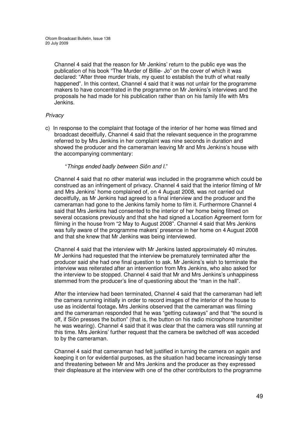Channel 4 said that the reason for Mr Jenkins' return to the public eye was the publication of his book "The Murder of Billie- Jo" on the cover of which it was declared: "After three murder trials, my quest to establish the truth of what really happened". In this context, Channel 4 said that it was not unfair for the programme makers to have concentrated in the programme on Mr Jenkins's interviews and the proposals he had made for his publication rather than on his family life with Mrs Jenkins.

## *Privacy*

c) In response to the complaint that footage of the interior of her home was filmed and broadcast deceitfully, Channel 4 said that the relevant sequence in the programme referred to by Mrs Jenkins in her complaint was nine seconds in duration and showed the producer and the cameraman leaving Mr and Mrs Jenkins's house with the accompanying commentary:

## "*Things ended badly between Siôn and I.*"

Channel 4 said that no other material was included in the programme which could be construed as an infringement of privacy. Channel 4 said that the interior filming of Mr and Mrs Jenkins' home complained of, on 4 August 2008, was not carried out deceitfully, as Mr Jenkins had agreed to a final interview and the producer and the cameraman had gone to the Jenkins family home to film it. Furthermore Channel 4 said that Mrs Jenkins had consented to the interior of her home being filmed on several occasions previously and that she had signed a Location Agreement form for filming in the house from "2 May to August 2008". Channel 4 said that Mrs Jenkins was fully aware of the programme makers' presence in her home on 4 August 2008 and that she knew that Mr Jenkins was being interviewed.

Channel 4 said that the interview with Mr Jenkins lasted approximately 40 minutes. Mr Jenkins had requested that the interview be prematurely terminated after the producer said she had one final question to ask. Mr Jenkins's wish to terminate the interview was reiterated after an intervention from Mrs Jenkins, who also asked for the interview to be stopped. Channel 4 said that Mr and Mrs Jenkins's unhappiness stemmed from the producer's line of questioning about the "man in the hall".

After the interview had been terminated, Channel 4 said that the cameraman had left the camera running initially in order to record images of the interior of the house to use as incidental footage**.** Mrs Jenkins observed that the cameraman was filming and the cameraman responded that he was "getting cutaways" and that "the sound is off, if Siôn presses the button" (that is, the button on his radio microphone transmitter he was wearing). Channel 4 said that it was clear that the camera was still running at this time. Mrs Jenkins' further request that the camera be switched off was acceded to by the cameraman.

Channel 4 said that cameraman had felt justified in turning the camera on again and keeping it on for evidential purposes, as the situation had became increasingly tense and threatening between Mr and Mrs Jenkins and the producer as they expressed their displeasure at the interview with one of the other contributors to the programme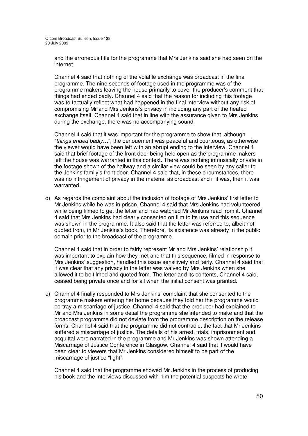and the erroneous title for the programme that Mrs Jenkins said she had seen on the internet.

Channel 4 said that nothing of the volatile exchange was broadcast in the final programme. The nine seconds of footage used in the programme was of the programme makers leaving the house primarily to cover the producer's comment that things had ended badly. Channel 4 said that the reason for including this footage was to factually reflect what had happened in the final interview without any risk of compromising Mr and Mrs Jenkins's privacy in including any part of the heated exchange itself. Channel 4 said that in line with the assurance given to Mrs Jenkins during the exchange, there was no accompanying sound.

Channel 4 said that it was important for the programme to show that, although "*things ended badly…*", the denouement was peaceful and courteous, as otherwise the viewer would have been left with an abrupt ending to the interview. Channel 4 said that brief footage of the front door being held open as the programme makers left the house was warranted in this context. There was nothing intrinsically private in the footage shown of the hallway and a similar view could be seen by any caller to the Jenkins family's front door. Channel 4 said that, in these circumstances, there was no infringement of privacy in the material as broadcast and if it was, then it was warranted.

d) As regards the complaint about the inclusion of footage of Mrs Jenkins' first letter to Mr Jenkins while he was in prison, Channel 4 said that Mrs Jenkins had volunteered while being filmed to get the letter and had watched Mr Jenkins read from it. Channel 4 said that Mrs Jenkins had clearly consented on film to its use and this sequence was shown in the programme. It also said that the letter was referred to, albeit not quoted from, in Mr Jenkins's book. Therefore, its existence was already in the public domain prior to the broadcast of the programme.

Channel 4 said that in order to fairly represent Mr and Mrs Jenkins' relationship it was important to explain how they met and that this sequence, filmed in response to Mrs Jenkins' suggestion, handled this issue sensitively and fairly. Channel 4 said that it was clear that any privacy in the letter was waived by Mrs Jenkins when she allowed it to be filmed and quoted from. The letter and its contents, Channel 4 said, ceased being private once and for all when the initial consent was granted.

e) Channel 4 finally responded to Mrs Jenkins' complaint that she consented to the programme makers entering her home because they told her the programme would portray a miscarriage of justice. Channel 4 said that the producer had explained to Mr and Mrs Jenkins in some detail the programme she intended to make and that the broadcast programme did not deviate from the programme description on the release forms. Channel 4 said that the programme did not contradict the fact that Mr Jenkins suffered a miscarriage of justice. The details of his arrest, trials, imprisonment and acquittal were narrated in the programme and Mr Jenkins was shown attending a Miscarriage of Justice Conference in Glasgow. Channel 4 said that it would have been clear to viewers that Mr Jenkins considered himself to be part of the miscarriage of justice "fight".

Channel 4 said that the programme showed Mr Jenkins in the process of producing his book and the interviews discussed with him the potential suspects he wrote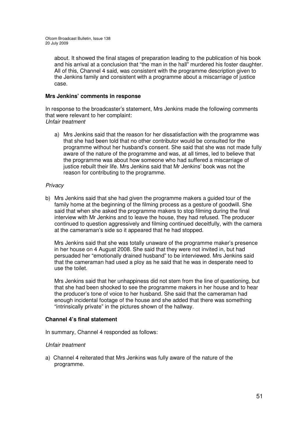about. It showed the final stages of preparation leading to the publication of his book and his arrival at a conclusion that "the man in the hall" murdered his foster daughter. All of this, Channel 4 said, was consistent with the programme description given to the Jenkins family and consistent with a programme about a miscarriage of justice case.

## **Mrs Jenkins' comments in response**

In response to the broadcaster's statement, Mrs Jenkins made the following comments that were relevant to her complaint: *Unfair treatment*

a) Mrs Jenkins said that the reason for her dissatisfaction with the programme was that she had been told that no other contributor would be consulted for the programme without her husband's consent. She said that she was not made fully aware of the nature of the programme and was, at all times, led to believe that the programme was about how someone who had suffered a miscarriage of justice rebuilt their life. Mrs Jenkins said that Mr Jenkins' book was not the reason for contributing to the programme.

## *Privacy*

b) Mrs Jenkins said that she had given the programme makers a guided tour of the family home at the beginning of the filming process as a gesture of goodwill. She said that when she asked the programme makers to stop filming during the final interview with Mr Jenkins and to leave the house, they had refused. The producer continued to question aggressively and filming continued deceitfully, with the camera at the cameraman's side so it appeared that he had stopped.

Mrs Jenkins said that she was totally unaware of the programme maker's presence in her house on 4 August 2008. She said that they were not invited in, but had persuaded her "emotionally drained husband" to be interviewed. Mrs Jenkins said that the cameraman had used a ploy as he said that he was in desperate need to use the toilet.

Mrs Jenkins said that her unhappiness did not stem from the line of questioning, but that she had been shocked to see the programme makers in her house and to hear the producer's tone of voice to her husband. She said that the cameraman had enough incidental footage of the house and she added that there was something "intrinsically private" in the pictures shown of the hallway.

## **Channel 4's final statement**

In summary, Channel 4 responded as follows:

## *Unfair treatment*

a) Channel 4 reiterated that Mrs Jenkins was fully aware of the nature of the programme.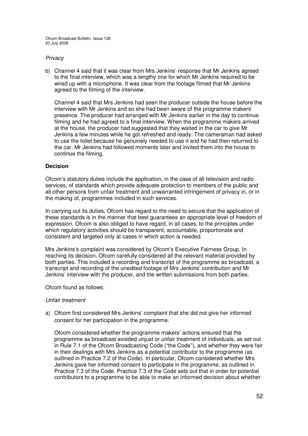### *Privacy*

b) Channel 4 said that it was clear from Mrs Jenkins' response that Mr Jenkins agreed to the final interview, which was a lengthy one for which Mr Jenkins required to be wired up with a microphone. It was clear from the footage filmed that Mr Jenkins agreed to the filming of the interview.

Channel 4 said that Mrs Jenkins had seen the producer outside the house before the interview with Mr Jenkins and so she had been aware of the programme makers' presence. The producer had arranged with Mr Jenkins earlier in the day to continue filming and he had agreed to a final interview. When the programme makers arrived at the house, the producer had suggested that they waited in the car to give Mr Jenkins a few minutes while he got refreshed and ready. The cameraman had asked to use the toilet because he genuinely needed to use it and he had then returned to the car. Mr Jenkins had followed moments later and invited them into the house to continue the filming.

## **Decision**

Ofcom's statutory duties include the application, in the case of all television and radio services, of standards which provide adequate protection to members of the public and all other persons from unfair treatment and unwarranted infringement of privacy in, or in the making of, programmes included in such services.

In carrying out its duties, Ofcom has regard to the need to secure that the application of these standards is in the manner that best guarantees an appropriate level of freedom of expression. Ofcom is also obliged to have regard, in all cases, to the principles under which regulatory activities should be transparent, accountable, proportionate and consistent and targeted only at cases in which action is needed.

Mrs Jenkins's complaint was considered by Ofcom's Executive Fairness Group. In reaching its decision, Ofcom carefully considered all the relevant material provided by both parties. This included a recording and transcript of the programme as broadcast, a transcript and recording of the unedited footage of Mrs Jenkins' contribution and Mr Jenkins' interview with the producer, and the written submissions from both parties.

Ofcom found as follows:

#### *Unfair treatment*

a) Ofcom first considered Mrs Jenkins' complaint that she did not give her informed consent for her participation in the programme.

Ofcom considered whether the programme makers' actions ensured that the programme as broadcast avoided unjust or unfair treatment of individuals, as set out in Rule 7.1 of the Ofcom Broadcasting Code ("the Code"), and whether they were fair in their dealings with Mrs Jenkins as a potential contributor to the programme (as outlined in Practice 7.2 of the Code). In particular, Ofcom considered whether Mrs Jenkins gave her informed consent to participate in the programme, as outlined in Practice 7.3 of the Code. Practice 7.3 of the Code sets out that in order for potential contributors to a programme to be able to make an informed decision about whether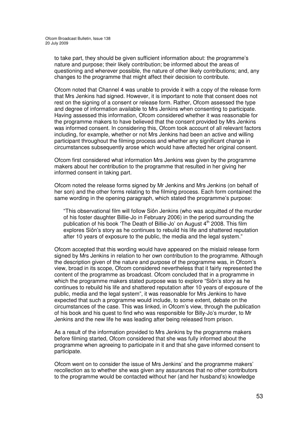to take part, they should be given sufficient information about: the programme's nature and purpose; their likely contribution; be informed about the areas of questioning and wherever possible, the nature of other likely contributions; and, any changes to the programme that might affect their decision to contribute.

Ofcom noted that Channel 4 was unable to provide it with a copy of the release form that Mrs Jenkins had signed. However, it is important to note that consent does not rest on the signing of a consent or release form. Rather, Ofcom assessed the type and degree of information available to Mrs Jenkins when consenting to participate. Having assessed this information, Ofcom considered whether it was reasonable for the programme makers to have believed that the consent provided by Mrs Jenkins was informed consent. In considering this, Ofcom took account of all relevant factors including, for example, whether or not Mrs Jenkins had been an active and willing participant throughout the filming process and whether any significant change in circumstances subsequently arose which would have affected her original consent.

Ofcom first considered what information Mrs Jenkins was given by the programme makers about her contribution to the programme that resulted in her giving her informed consent in taking part.

Ofcom noted the release forms signed by Mr Jenkins and Mrs Jenkins (on behalf of her son) and the other forms relating to the filming process. Each form contained the same wording in the opening paragraph, which stated the programme's purpose:

"This observational film will follow Siôn Jenkins (who was acquitted of the murder of his foster daughter Billie-Jo in February 2006) in the period surrounding the publication of his book 'The Death of Billie-Jo' on August 4<sup>th</sup> 2008. This film explores Siôn's story as he continues to rebuild his life and shattered reputation after 10 years of exposure to the public, the media and the legal system."

Ofcom accepted that this wording would have appeared on the mislaid release form signed by Mrs Jenkins in relation to her own contribution to the programme. Although the description given of the nature and purpose of the programme was, in Ofcom's view, broad in its scope, Ofcom considered nevertheless that it fairly represented the content of the programme as broadcast. Ofcom concluded that in a programme in which the programme makers stated purpose was to explore "Siôn's story as he continues to rebuild his life and shattered reputation after 10 years of exposure of the public, media and the legal system", it was reasonable for Mrs Jenkins to have expected that such a programme would include, to some extent, debate on the circumstances of the case. This was linked, in Ofcom's view, through the publication of his book and his quest to find who was responsible for Billy-Jo's murder, to Mr Jenkins and the new life he was leading after being released from prison.

As a result of the information provided to Mrs Jenkins by the programme makers before filming started, Ofcom considered that she was fully informed about the programme when agreeing to participate in it and that she gave informed consent to participate.

Ofcom went on to consider the issue of Mrs Jenkins' and the programme makers' recollection as to whether she was given any assurances that no other contributors to the programme would be contacted without her (and her husband's) knowledge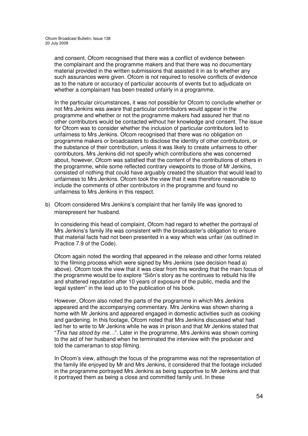and consent. Ofcom recognised that there was a conflict of evidence between the complainant and the programme makers and that there was no documentary material provided in the written submissions that assisted it in as to whether any such assurances were given. Ofcom is not required to resolve conflicts of evidence as to the nature or accuracy of particular accounts of events but to adjudicate on whether a complainant has been treated unfairly in a programme.

In the particular circumstances, it was not possible for Ofcom to conclude whether or not Mrs Jenkins was aware that particular contributors would appear in the programme and whether or not the programme makers had assured her that no other contributors would be contacted without her knowledge and consent. The issue for Ofcom was to consider whether the inclusion of particular contributors led to unfairness to Mrs Jenkins. Ofcom recognised that there was no obligation on programme makers or broadcasters to disclose the identity of other contributors, or the substance of their contribution, unless it was likely to create unfairness to other contributors. Mrs Jenkins did not specify which contributions she was concerned about, however, Ofcom was satisfied that the content of the contributions of others in the programme, while some reflected contrary viewpoints to those of Mr Jenkins, consisted of nothing that could have arguably created the situation that would lead to unfairness to Mrs Jenkins. Ofcom took the view that it was therefore reasonable to include the comments of other contributors in the programme and found no unfairness to Mrs Jenkins in this respect.

b) Ofcom considered Mrs Jenkins's complaint that her family life was ignored to misrepresent her husband.

In considering this head of complaint, Ofcom had regard to whether the portrayal of Mrs Jenkins's family life was consistent with the broadcaster's obligation to ensure that material facts had not been presented in a way which was unfair (as outlined in Practice 7.9 of the Code).

Ofcom again noted the wording that appeared in the release and other forms related to the filming process which were signed by Mrs Jenkins (see decision head a) above). Ofcom took the view that it was clear from this wording that the main focus of the programme would be to explore "Siôn's story as he continues to rebuild his life and shattered reputation after 10 years of exposure of the public, media and the legal system" in the lead up to the publication of his book.

However, Ofcom also noted the parts of the programme in which Mrs Jenkins appeared and the accompanying commentary. Mrs Jenkins was shown sharing a home with Mr Jenkins and appeared engaged in domestic activities such as cooking and gardening. In this footage, Ofcom noted that Mrs Jenkins discussed what had led her to write to Mr Jenkins while he was in prison and that Mr Jenkins stated that "*Tina has stood by me…*". Later in the programme, Mrs Jenkins was shown coming to the aid of her husband when he terminated the interview with the producer and told the cameraman to stop filming.

In Ofcom's view, although the focus of the programme was not the representation of the family life enjoyed by Mr and Mrs Jenkins, it considered that the footage included in the programme portrayed Mrs Jenkins as being supportive to Mr Jenkins and that it portrayed them as being a close and committed family unit. In these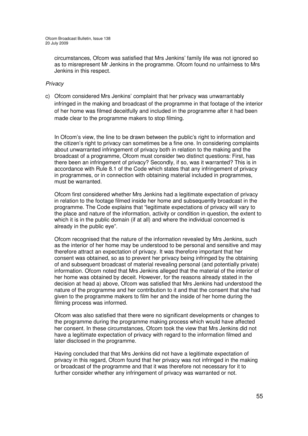circumstances, Ofcom was satisfied that Mrs Jenkins' family life was not ignored so as to misrepresent Mr Jenkins in the programme. Ofcom found no unfairness to Mrs Jenkins in this respect.

## *Privacy*

c) Ofcom considered Mrs Jenkins' complaint that her privacy was unwarrantably infringed in the making and broadcast of the programme in that footage of the interior of her home was filmed deceitfully and included in the programme after it had been made clear to the programme makers to stop filming.

In Ofcom's view, the line to be drawn between the public's right to information and the citizen's right to privacy can sometimes be a fine one. In considering complaints about unwarranted infringement of privacy both in relation to the making and the broadcast of a programme, Ofcom must consider two distinct questions: First, has there been an infringement of privacy? Secondly, if so, was it warranted? This is in accordance with Rule 8.1 of the Code which states that any infringement of privacy in programmes, or in connection with obtaining material included in programmes, must be warranted.

Ofcom first considered whether Mrs Jenkins had a legitimate expectation of privacy in relation to the footage filmed inside her home and subsequently broadcast in the programme. The Code explains that "legitimate expectations of privacy will vary to the place and nature of the information, activity or condition in question, the extent to which it is in the public domain (if at all) and where the individual concerned is already in the public eye".

Ofcom recognised that the nature of the information revealed by Mrs Jenkins, such as the interior of her home may be understood to be personal and sensitive and may therefore attract an expectation of privacy. It was therefore important that her consent was obtained, so as to prevent her privacy being infringed by the obtaining of and subsequent broadcast of material revealing personal (and potentially private) information. Ofcom noted that Mrs Jenkins alleged that the material of the interior of her home was obtained by deceit. However, for the reasons already stated in the decision at head a) above, Ofcom was satisfied that Mrs Jenkins had understood the nature of the programme and her contribution to it and that the consent that she had given to the programme makers to film her and the inside of her home during the filming process was informed.

Ofcom was also satisfied that there were no significant developments or changes to the programme during the programme making process which would have affected her consent. In these circumstances, Ofcom took the view that Mrs Jenkins did not have a legitimate expectation of privacy with regard to the information filmed and later disclosed in the programme.

Having concluded that that Mrs Jenkins did not have a legitimate expectation of privacy in this regard, Ofcom found that her privacy was not infringed in the making or broadcast of the programme and that it was therefore not necessary for it to further consider whether any infringement of privacy was warranted or not.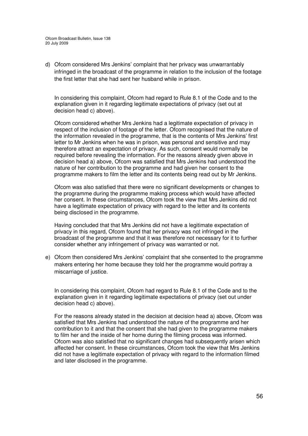d) Ofcom considered Mrs Jenkins' complaint that her privacy was unwarrantably infringed in the broadcast of the programme in relation to the inclusion of the footage the first letter that she had sent her husband while in prison.

In considering this complaint, Ofcom had regard to Rule 8.1 of the Code and to the explanation given in it regarding legitimate expectations of privacy (set out at decision head c) above).

Ofcom considered whether Mrs Jenkins had a legitimate expectation of privacy in respect of the inclusion of footage of the letter. Ofcom recognised that the nature of the information revealed in the programme, that is the contents of Mrs Jenkins' first letter to Mr Jenkins when he was in prison, was personal and sensitive and may therefore attract an expectation of privacy. As such, consent would normally be required before revealing the information. For the reasons already given above in decision head a) above, Ofcom was satisfied that Mrs Jenkins had understood the nature of her contribution to the programme and had given her consent to the programme makers to film the letter and its contents being read out by Mr Jenkins.

Ofcom was also satisfied that there were no significant developments or changes to the programme during the programme making process which would have affected her consent. In these circumstances, Ofcom took the view that Mrs Jenkins did not have a legitimate expectation of privacy with regard to the letter and its contents being disclosed in the programme.

Having concluded that that Mrs Jenkins did not have a legitimate expectation of privacy in this regard, Ofcom found that her privacy was not infringed in the broadcast of the programme and that it was therefore not necessary for it to further consider whether any infringement of privacy was warranted or not.

e) Ofcom then considered Mrs Jenkins' complaint that she consented to the programme makers entering her home because they told her the programme would portray a miscarriage of justice.

In considering this complaint, Ofcom had regard to Rule 8.1 of the Code and to the explanation given in it regarding legitimate expectations of privacy (set out under decision head c) above).

For the reasons already stated in the decision at decision head a) above, Ofcom was satisfied that Mrs Jenkins had understood the nature of the programme and her contribution to it and that the consent that she had given to the programme makers to film her and the inside of her home during the filming process was informed. Ofcom was also satisfied that no significant changes had subsequently arisen which affected her consent. In these circumstances, Ofcom took the view that Mrs Jenkins did not have a legitimate expectation of privacy with regard to the information filmed and later disclosed in the programme.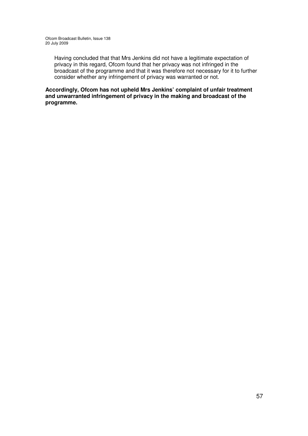Having concluded that that Mrs Jenkins did not have a legitimate expectation of privacy in this regard, Ofcom found that her privacy was not infringed in the broadcast of the programme and that it was therefore not necessary for it to further consider whether any infringement of privacy was warranted or not.

**Accordingly, Ofcom has not upheld Mrs Jenkins' complaint of unfair treatment and unwarranted infringement of privacy in the making and broadcast of the programme.**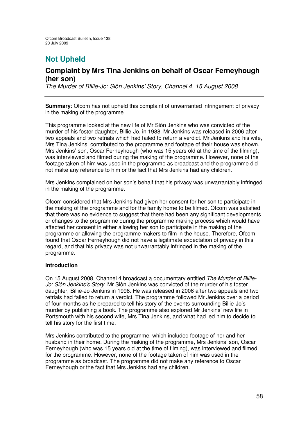# **Not Upheld**

## **Complaint by Mrs Tina Jenkins on behalf of Oscar Ferneyhough (her son)**

*The Murder of Billie-Jo: Siôn Jenkins' Story, Channel 4, 15 August 2008*

**Summary**: Ofcom has not upheld this complaint of unwarranted infringement of privacy in the making of the programme.

This programme looked at the new life of Mr Siôn Jenkins who was convicted of the murder of his foster daughter, Billie-Jo, in 1988. Mr Jenkins was released in 2006 after two appeals and two retrials which had failed to return a verdict. Mr Jenkins and his wife, Mrs Tina Jenkins, contributed to the programme and footage of their house was shown. Mrs Jenkins' son, Oscar Ferneyhough (who was 15 years old at the time of the filming), was interviewed and filmed during the making of the programme. However, none of the footage taken of him was used in the programme as broadcast and the programme did not make any reference to him or the fact that Mrs Jenkins had any children.

Mrs Jenkins complained on her son's behalf that his privacy was unwarrantably infringed in the making of the programme.

Ofcom considered that Mrs Jenkins had given her consent for her son to participate in the making of the programme and for the family home to be filmed. Ofcom was satisfied that there was no evidence to suggest that there had been any significant developments or changes to the programme during the programme making process which would have affected her consent in either allowing her son to participate in the making of the programme or allowing the programme makers to film in the house. Therefore, Ofcom found that Oscar Ferneyhough did not have a legitimate expectation of privacy in this regard, and that his privacy was not unwarrantably infringed in the making of the programme.

#### **Introduction**

On 15 August 2008, Channel 4 broadcast a documentary entitled *The Murder of Billie-Jo: Siôn Jenkins's Story*. Mr Siôn Jenkins was convicted of the murder of his foster daughter, Billie-Jo Jenkins in 1998. He was released in 2006 after two appeals and two retrials had failed to return a verdict. The programme followed Mr Jenkins over a period of four months as he prepared to tell his story of the events surrounding Billie-Jo's murder by publishing a book. The programme also explored Mr Jenkins' new life in Portsmouth with his second wife, Mrs Tina Jenkins, and what had led him to decide to tell his story for the first time.

Mrs Jenkins contributed to the programme, which included footage of her and her husband in their home. During the making of the programme, Mrs Jenkins' son, Oscar Ferneyhough (who was 15 years old at the time of filming), was interviewed and filmed for the programme. However, none of the footage taken of him was used in the programme as broadcast. The programme did not make any reference to Oscar Ferneyhough or the fact that Mrs Jenkins had any children.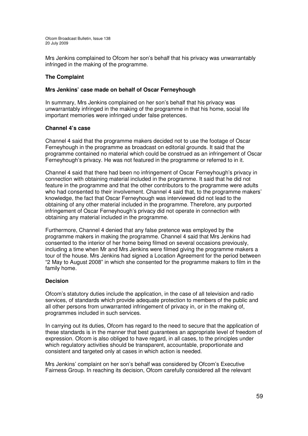Mrs Jenkins complained to Ofcom her son's behalf that his privacy was unwarrantably infringed in the making of the programme.

## **The Complaint**

## **Mrs Jenkins' case made on behalf of Oscar Ferneyhough**

In summary, Mrs Jenkins complained on her son's behalf that his privacy was unwarrantably infringed in the making of the programme in that his home, social life important memories were infringed under false pretences.

## **Channel 4's case**

Channel 4 said that the programme makers decided not to use the footage of Oscar Ferneyhough in the programme as broadcast on editorial grounds. It said that the programme contained no material which could be construed as an infringement of Oscar Ferneyhough's privacy. He was not featured in the programme or referred to in it.

Channel 4 said that there had been no infringement of Oscar Ferneyhough's privacy in connection with obtaining material included in the programme. It said that he did not feature in the programme and that the other contributors to the programme were adults who had consented to their involvement. Channel 4 said that, to the programme makers' knowledge, the fact that Oscar Ferneyhough was interviewed did not lead to the obtaining of any other material included in the programme. Therefore, any purported infringement of Oscar Ferneyhough's privacy did not operate in connection with obtaining any material included in the programme.

Furthermore, Channel 4 denied that any false pretence was employed by the programme makers in making the programme. Channel 4 said that Mrs Jenkins had consented to the interior of her home being filmed on several occasions previously, including a time when Mr and Mrs Jenkins were filmed giving the programme makers a tour of the house. Mrs Jenkins had signed a Location Agreement for the period between "2 May to August 2008" in which she consented for the programme makers to film in the family home.

## **Decision**

Ofcom's statutory duties include the application, in the case of all television and radio services, of standards which provide adequate protection to members of the public and all other persons from unwarranted infringement of privacy in, or in the making of, programmes included in such services.

In carrying out its duties, Ofcom has regard to the need to secure that the application of these standards is in the manner that best guarantees an appropriate level of freedom of expression. Ofcom is also obliged to have regard, in all cases, to the principles under which regulatory activities should be transparent, accountable, proportionate and consistent and targeted only at cases in which action is needed.

Mrs Jenkins' complaint on her son's behalf was considered by Ofcom's Executive Fairness Group. In reaching its decision, Ofcom carefully considered all the relevant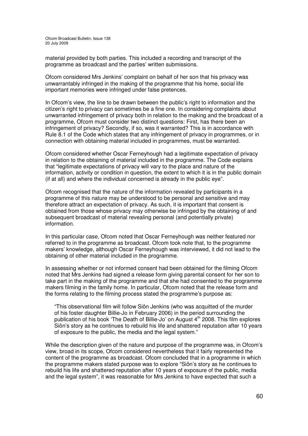material provided by both parties. This included a recording and transcript of the programme as broadcast and the parties' written submissions.

Ofcom considered Mrs Jenkins' complaint on behalf of her son that his privacy was unwarrantably infringed in the making of the programme that his home, social life important memories were infringed under false pretences.

In Ofcom's view, the line to be drawn between the public's right to information and the citizen's right to privacy can sometimes be a fine one. In considering complaints about unwarranted infringement of privacy both in relation to the making and the broadcast of a programme, Ofcom must consider two distinct questions: First, has there been an infringement of privacy? Secondly, if so, was it warranted? This is in accordance with Rule 8.1 of the Code which states that any infringement of privacy in programmes, or in connection with obtaining material included in programmes, must be warranted.

Ofcom considered whether Oscar Ferneyhough had a legitimate expectation of privacy in relation to the obtaining of material included in the programme. The Code explains that "legitimate expectations of privacy will vary to the place and nature of the information, activity or condition in question, the extent to which it is in the public domain (if at all) and where the individual concerned is already in the public eye".

Ofcom recognised that the nature of the information revealed by participants in a programme of this nature may be understood to be personal and sensitive and may therefore attract an expectation of privacy. As such, it is important that consent is obtained from those whose privacy may otherwise be infringed by the obtaining of and subsequent broadcast of material revealing personal (and potentially private) information.

In this particular case, Ofcom noted that Oscar Ferneyhough was neither featured nor referred to in the programme as broadcast. Ofcom took note that, to the programme makers' knowledge, although Oscar Ferneyhough was interviewed, it did not lead to the obtaining of other material included in the programme.

In assessing whether or not informed consent had been obtained for the filming Ofcom noted that Mrs Jenkins had signed a release form giving parental consent for her son to take part in the making of the programme and that she had consented to the programme makers filming in the family home. In particular, Ofcom noted that the release form and the forms relating to the filming process stated the programme's purpose as:

"This observational film will follow Siôn Jenkins (who was acquitted of the murder of his foster daughter Billie-Jo in February 2006) in the period surrounding the publication of his book 'The Death of Billie-Jo' on August 4<sup>th</sup> 2008. This film explores Siôn's story as he continues to rebuild his life and shattered reputation after 10 years of exposure to the public, the media and the legal system."

While the description given of the nature and purpose of the programme was, in Ofcom's view, broad in its scope, Ofcom considered nevertheless that it fairly represented the content of the programme as broadcast. Ofcom concluded that in a programme in which the programme makers stated purpose was to explore "Siôn's story as he continues to rebuild his life and shattered reputation after 10 years of exposure of the public, media and the legal system", it was reasonable for Mrs Jenkins to have expected that such a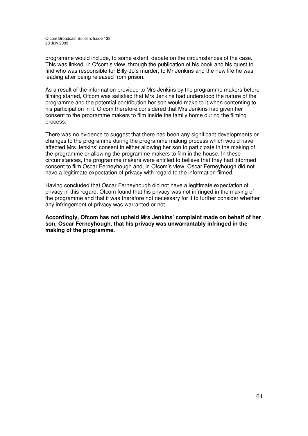programme would include, to some extent, debate on the circumstances of the case. This was linked, in Ofcom's view, through the publication of his book and his quest to find who was responsible for Billy-Jo's murder, to Mr Jenkins and the new life he was leading after being released from prison.

As a result of the information provided to Mrs Jenkins by the programme makers before filming started, Ofcom was satisfied that Mrs Jenkins had understood the nature of the programme and the potential contribution her son would make to it when contenting to his participation in it. Ofcom therefore considered that Mrs Jenkins had given her consent to the programme makers to film inside the family home during the filming process.

There was no evidence to suggest that there had been any significant developments or changes to the programme during the programme making process which would have affected Mrs Jenkins' consent in either allowing her son to participate in the making of the programme or allowing the programme makers to film in the house. In these circumstances, the programme makers were entitled to believe that they had informed consent to film Oscar Ferneyhough and, in Ofcom's view, Oscar Ferneyhough did not have a legitimate expectation of privacy with regard to the information filmed.

Having concluded that Oscar Ferneyhough did not have a legitimate expectation of privacy in this regard, Ofcom found that his privacy was not infringed in the making of the programme and that it was therefore not necessary for it to further consider whether any infringement of privacy was warranted or not.

**Accordingly, Ofcom has not upheld Mrs Jenkins' complaint made on behalf of her son, Oscar Ferneyhough, that his privacy was unwarrantably infringed in the making of the programme.**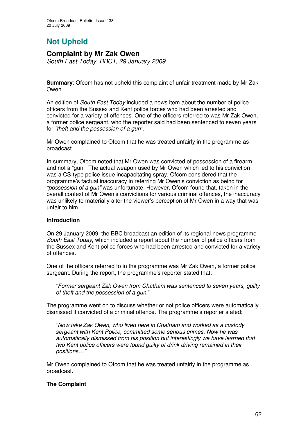# **Not Upheld**

## **Complaint by Mr Zak Owen** *South East Today, BBC1, 29 January 2009*

**Summary**: Ofcom has not upheld this complaint of unfair treatment made by Mr Zak Owen.

An edition of *South East Today* included a news item about the number of police officers from the Sussex and Kent police forces who had been arrested and convicted for a variety of offences. One of the officers referred to was Mr Zak Owen, a former police sergeant, who the reporter said had been sentenced to seven years for *"theft and the possession of a gun"*.

Mr Owen complained to Ofcom that he was treated unfairly in the programme as broadcast.

In summary, Ofcom noted that Mr Owen was convicted of possession of a firearm and not a "gun". The actual weapon used by Mr Owen which led to his conviction was a CS-type police issue incapacitating spray. Ofcom considered that the programme's factual inaccuracy in referring Mr Owen's conviction as being for *"possession of a gun"* was unfortunate. However, Ofcom found that, taken in the overall context of Mr Owen's convictions for various criminal offences, the inaccuracy was unlikely to materially alter the viewer's perception of Mr Owen in a way that was unfair to him.

## **Introduction**

On 29 January 2009, the BBC broadcast an edition of its regional news programme *South East Today*, which included a report about the number of police officers from the Sussex and Kent police forces who had been arrested and convicted for a variety of offences.

One of the officers referred to in the programme was Mr Zak Owen, a former police sergeant. During the report, the programme's reporter stated that:

"*Former sergeant Zak Owen from Chatham was sentenced to seven years, guilty of theft and the possession of a gun.*"

The programme went on to discuss whether or not police officers were automatically dismissed if convicted of a criminal offence. The programme's reporter stated:

"*Now take Zak Owen, who lived here in Chatham and worked as a custody sergeant with Kent Police, committed some serious crimes. Now he was automatically dismissed from his position but interestingly we have learned that two Kent police officers were found guilty of drink driving remained in their positions…"*

Mr Owen complained to Ofcom that he was treated unfairly in the programme as broadcast.

## **The Complaint**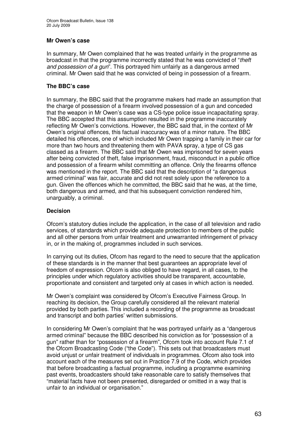## **Mr Owen's case**

In summary, Mr Owen complained that he was treated unfairly in the programme as broadcast in that the programme incorrectly stated that he was convicted of "*theft and possession of a gun*". This portrayed him unfairly as a dangerous armed criminal. Mr Owen said that he was convicted of being in possession of a firearm.

## **The BBC's case**

In summary, the BBC said that the programme makers had made an assumption that the charge of possession of a firearm involved possession of a gun and conceded that the weapon in Mr Owen's case was a CS-type police issue incapacitating spray. The BBC accepted that this assumption resulted in the programme inaccurately reflecting Mr Owen's convictions. However, the BBC said that, in the context of Mr Owen's original offences, this factual inaccuracy was of a minor nature. The BBC detailed his offences, one of which included Mr Owen trapping a family in their car for more than two hours and threatening them with PAVA spray, a type of CS gas classed as a firearm. The BBC said that Mr Owen was imprisoned for seven years after being convicted of theft, false imprisonment, fraud, misconduct in a public office and possession of a firearm whilst committing an offence. Only the firearms offence was mentioned in the report. The BBC said that the description of "a dangerous armed criminal" was fair, accurate and did not rest solely upon the reference to a gun. Given the offences which he committed, the BBC said that he was, at the time, both dangerous and armed, and that his subsequent conviction rendered him, unarguably, a criminal.

## **Decision**

Ofcom's statutory duties include the application, in the case of all television and radio services, of standards which provide adequate protection to members of the public and all other persons from unfair treatment and unwarranted infringement of privacy in, or in the making of, programmes included in such services.

In carrying out its duties, Ofcom has regard to the need to secure that the application of these standards is in the manner that best guarantees an appropriate level of freedom of expression. Ofcom is also obliged to have regard, in all cases, to the principles under which regulatory activities should be transparent, accountable, proportionate and consistent and targeted only at cases in which action is needed.

Mr Owen's complaint was considered by Ofcom's Executive Fairness Group. In reaching its decision, the Group carefully considered all the relevant material provided by both parties. This included a recording of the programme as broadcast and transcript and both parties' written submissions.

In considering Mr Owen's complaint that he was portrayed unfairly as a "dangerous armed criminal" because the BBC described his conviction as for "possession of a gun" rather than for "possession of a firearm", Ofcom took into account Rule 7.1 of the Ofcom Broadcasting Code ("the Code"). This sets out that broadcasters must avoid unjust or unfair treatment of individuals in programmes. Ofcom also took into account each of the measures set out in Practice 7.9 of the Code, which provides that before broadcasting a factual programme, including a programme examining past events, broadcasters should take reasonable care to satisfy themselves that "material facts have not been presented, disregarded or omitted in a way that is unfair to an individual or organisation."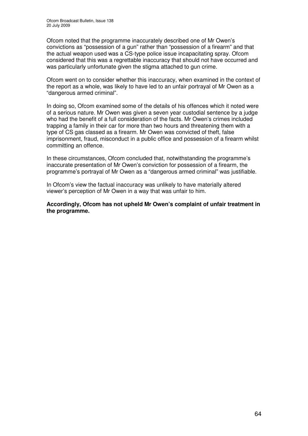Ofcom noted that the programme inaccurately described one of Mr Owen's convictions as "possession of a gun" rather than "possession of a firearm" and that the actual weapon used was a CS-type police issue incapacitating spray. Ofcom considered that this was a regrettable inaccuracy that should not have occurred and was particularly unfortunate given the stigma attached to gun crime.

Ofcom went on to consider whether this inaccuracy, when examined in the context of the report as a whole, was likely to have led to an unfair portrayal of Mr Owen as a "dangerous armed criminal".

In doing so, Ofcom examined some of the details of his offences which it noted were of a serious nature. Mr Owen was given a seven year custodial sentence by a judge who had the benefit of a full consideration of the facts. Mr Owen's crimes included trapping a family in their car for more than two hours and threatening them with a type of CS gas classed as a firearm. Mr Owen was convicted of theft, false imprisonment, fraud, misconduct in a public office and possession of a firearm whilst committing an offence.

In these circumstances, Ofcom concluded that, notwithstanding the programme's inaccurate presentation of Mr Owen's conviction for possession of a firearm, the programme's portrayal of Mr Owen as a "dangerous armed criminal" was justifiable.

In Ofcom's view the factual inaccuracy was unlikely to have materially altered viewer's perception of Mr Owen in a way that was unfair to him.

**Accordingly, Ofcom has not upheld Mr Owen's complaint of unfair treatment in the programme.**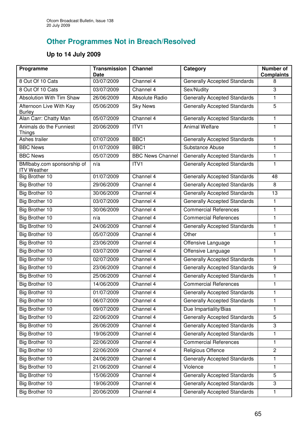# **Other Programmes Not in Breach/Resolved**

# **Up to 14 July 2009**

| Programme                                        | <b>Transmission</b><br><b>Date</b> | <b>Channel</b>          | Category                            | <b>Number of</b><br><b>Complaints</b> |
|--------------------------------------------------|------------------------------------|-------------------------|-------------------------------------|---------------------------------------|
| 8 Out Of 10 Cats                                 | 03/07/2009                         | Channel 4               | <b>Generally Accepted Standards</b> | 8                                     |
| 8 Out Of 10 Cats                                 | 03/07/2009                         | Channel 4               | Sex/Nudity                          | 3                                     |
| <b>Absolution With Tim Shaw</b>                  | 26/06/2009                         | Absolute Radio          | <b>Generally Accepted Standards</b> | $\mathbf{1}$                          |
| Afternoon Live With Kay<br><b>Burley</b>         | 05/06/2009                         | <b>Sky News</b>         | <b>Generally Accepted Standards</b> | 5                                     |
| Alan Carr: Chatty Man                            | 05/07/2009                         | Channel 4               | <b>Generally Accepted Standards</b> | 1                                     |
| Animals do the Funniest<br>Things                | 20/06/2009                         | ITV <sub>1</sub>        | <b>Animal Welfare</b>               | 1                                     |
| Ashes trailer                                    | 07/07/2009                         | BBC1                    | <b>Generally Accepted Standards</b> | $\mathbf{1}$                          |
| <b>BBC News</b>                                  | 01/07/2009                         | BBC1                    | Substance Abuse                     | $\mathbf{1}$                          |
| <b>BBC News</b>                                  | 05/07/2009                         | <b>BBC News Channel</b> | <b>Generally Accepted Standards</b> | 1                                     |
| BMIbaby.com sponsorship of<br><b>ITV Weather</b> | n/a                                | ITV1                    | <b>Generally Accepted Standards</b> | 1                                     |
| Big Brother 10                                   | 01/07/2009                         | Channel 4               | <b>Generally Accepted Standards</b> | 48                                    |
| Big Brother 10                                   | 29/06/2009                         | Channel 4               | <b>Generally Accepted Standards</b> | 8                                     |
| Big Brother 10                                   | 30/06/2009                         | Channel 4               | <b>Generally Accepted Standards</b> | 13                                    |
| Big Brother 10                                   | 03/07/2009                         | Channel 4               | <b>Generally Accepted Standards</b> | 1                                     |
| <b>Big Brother 10</b>                            | 30/06/2009                         | Channel 4               | <b>Commercial References</b>        | 1                                     |
| Big Brother 10                                   | n/a                                | Channel 4               | <b>Commercial References</b>        | 1                                     |
| <b>Big Brother 10</b>                            | 24/06/2009                         | Channel 4               | <b>Generally Accepted Standards</b> | 1                                     |
| <b>Big Brother 10</b>                            | 05/07/2009                         | Channel 4               | Other                               | 1                                     |
| Big Brother 10                                   | 23/06/2009                         | Channel 4               | Offensive Language                  | 1                                     |
| <b>Big Brother 10</b>                            | 03/07/2009                         | Channel 4               | Offensive Language                  | 1                                     |
| <b>Big Brother 10</b>                            | 02/07/2009                         | Channel 4               | <b>Generally Accepted Standards</b> | $\mathbf{1}$                          |
| Big Brother 10                                   | 23/06/2009                         | Channel 4               | <b>Generally Accepted Standards</b> | $\boldsymbol{9}$                      |
| Big Brother 10                                   | 25/06/2009                         | Channel 4               | <b>Generally Accepted Standards</b> | 1                                     |
| <b>Big Brother 10</b>                            | 14/06/2009                         | Channel $4$             | <b>Commercial References</b>        | 1                                     |
| Big Brother 10                                   | 01/07/2009                         | Channel 4               | <b>Generally Accepted Standards</b> | 1                                     |
| Big Brother 10                                   | 06/07/2009                         | Channel 4               | <b>Generally Accepted Standards</b> | 1                                     |
| Big Brother 10                                   | 09/07/2009                         | Channel 4               | Due Impartiality/Bias               | 1                                     |
| Big Brother 10                                   | 22/06/2009                         | Channel 4               | <b>Generally Accepted Standards</b> | 5                                     |
| Big Brother 10                                   | 26/06/2009                         | Channel 4               | <b>Generally Accepted Standards</b> | 3                                     |
| Big Brother 10                                   | 19/06/2009                         | Channel 4               | <b>Generally Accepted Standards</b> | 1                                     |
| Big Brother 10                                   | 22/06/2009                         | Channel 4               | <b>Commercial References</b>        | 1                                     |
| Big Brother 10                                   | 22/06/2009                         | Channel 4               | Religious Offence                   | $\overline{2}$                        |
| Big Brother 10                                   | 24/06/2009                         | Channel 4               | <b>Generally Accepted Standards</b> | 1                                     |
| Big Brother 10                                   | 21/06/2009                         | Channel 4               | Violence                            | 1                                     |
| Big Brother 10                                   | 15/06/2009                         | Channel 4               | <b>Generally Accepted Standards</b> | 5                                     |
| Big Brother 10                                   | 19/06/2009                         | Channel 4               | <b>Generally Accepted Standards</b> | 3                                     |
| Big Brother 10                                   | 20/06/2009                         | Channel 4               | <b>Generally Accepted Standards</b> | 1                                     |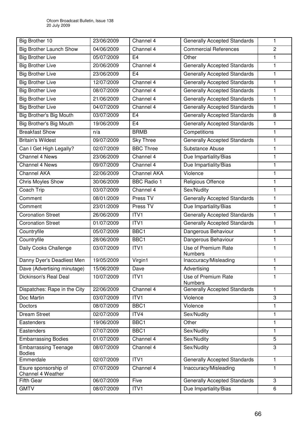| Big Brother 10                               | 23/06/2009 | Channel 4          | <b>Generally Accepted Standards</b>   | $\mathbf{1}$   |
|----------------------------------------------|------------|--------------------|---------------------------------------|----------------|
| <b>Big Brother Launch Show</b>               | 04/06/2009 | Channel 4          | <b>Commercial References</b>          | $\overline{2}$ |
| <b>Big Brother Live</b>                      | 05/07/2009 | E <sub>4</sub>     | Other                                 | 1              |
| <b>Big Brother Live</b>                      | 20/06/2009 | Channel 4          | <b>Generally Accepted Standards</b>   | $\mathbf{1}$   |
| <b>Big Brother Live</b>                      | 23/06/2009 | E <sub>4</sub>     | <b>Generally Accepted Standards</b>   | 1              |
| <b>Big Brother Live</b>                      | 12/07/2009 | Channel 4          | <b>Generally Accepted Standards</b>   | $\mathbf{1}$   |
| <b>Big Brother Live</b>                      | 08/07/2009 | Channel 4          | <b>Generally Accepted Standards</b>   | $\mathbf{1}$   |
| <b>Big Brother Live</b>                      | 21/06/2009 | Channel 4          | <b>Generally Accepted Standards</b>   | 1              |
| <b>Big Brother Live</b>                      | 04/07/2009 | Channel 4          | <b>Generally Accepted Standards</b>   | $\mathbf{1}$   |
| Big Brother's Big Mouth                      | 03/07/2009 | E <sub>4</sub>     | <b>Generally Accepted Standards</b>   | 8              |
| <b>Big Brother's Big Mouth</b>               | 19/06/2009 | E <sub>4</sub>     | <b>Generally Accepted Standards</b>   | 1              |
| <b>Breakfast Show</b>                        | n/a        | <b>BRMB</b>        | Competitions                          | 1              |
| <b>Britain's Wildest</b>                     | 09/07/2009 | <b>Sky Three</b>   | <b>Generally Accepted Standards</b>   | $\mathbf{1}$   |
| Can I Get High Legally?                      | 02/07/2009 | <b>BBC Three</b>   | Substance Abuse                       | 1              |
| <b>Channel 4 News</b>                        | 23/06/2009 | Channel 4          | Due Impartiality/Bias                 | 1              |
| Channel 4 News                               | 09/07/2009 | Channel 4          | Due Impartiality/Bias                 | $\mathbf{1}$   |
| <b>Channel AKA</b>                           | 22/06/2009 | <b>Channel AKA</b> | Violence                              | 1              |
| <b>Chris Moyles Show</b>                     | 30/06/2009 | <b>BBC Radio 1</b> | Religious Offence                     | $\mathbf{1}$   |
| Coach Trip                                   | 03/07/2009 | Channel 4          | Sex/Nudity                            | 1              |
| Comment                                      | 08/01/2009 | Press TV           | <b>Generally Accepted Standards</b>   | 1              |
| Comment                                      | 23/01/2009 | Press TV           | Due Impartiality/Bias                 | $\mathbf{1}$   |
| <b>Coronation Street</b>                     | 26/06/2009 | ITV1               | <b>Generally Accepted Standards</b>   | 1              |
| <b>Coronation Street</b>                     | 01/07/2009 | $\overline{IT}VI$  | <b>Generally Accepted Standards</b>   | 1              |
| Countryfile                                  | 05/07/2009 | BBC1               | Dangerous Behaviour                   | $\mathbf{1}$   |
| Countryfile                                  | 28/06/2009 | BBC1               | Dangerous Behaviour                   | 1              |
| Daily Cooks Challenge                        | 03/07/2009 | ITV1               | Use of Premium Rate<br>Numbers        |                |
| Danny Dyer's Deadliest Men                   | 19/05/2009 | Virgin1            | Inaccuracy/Misleading                 | 1              |
| Dave (Advertising minutage)                  | 15/06/2009 | Dave               | Advertising                           | $\mathbf{1}$   |
| Dickinson's Real Deal                        | 10/07/2009 | ITV1               | Use of Premium Rate<br><b>Numbers</b> | 1              |
| Dispatches: Rape in the City                 | 22/06/2009 | Channel 4          | <b>Generally Accepted Standards</b>   | $\mathbf{1}$   |
| Doc Martin                                   | 03/07/2009 | ITV1               | Violence                              | 3              |
| <b>Doctors</b>                               | 08/07/2009 | BBC1               | Violence                              | $\mathbf{1}$   |
| <b>Dream Street</b>                          | 02/07/2009 | ITV4               | Sex/Nudity                            | 1              |
| Eastenders                                   | 19/06/2009 | BBC1               | Other                                 | 1              |
| Eastenders                                   | 07/07/2009 | BBC1               | Sex/Nudity                            | $\mathbf{1}$   |
| <b>Embarrassing Bodies</b>                   | 01/07/2009 | Channel 4          | Sex/Nudity                            | 5              |
| <b>Embarrassing Teenage</b><br><b>Bodies</b> | 08/07/2009 | Channel 4          | Sex/Nudity                            | 3              |
| Emmerdale                                    | 02/07/2009 | ITV1               | <b>Generally Accepted Standards</b>   | $\mathbf{1}$   |
| Esure sponsorship of<br>Channel 4 Weather    | 07/07/2009 | Channel 4          | Inaccuracy/Misleading                 | $\mathbf{1}$   |
| <b>Fifth Gear</b>                            | 06/07/2009 | Five               | <b>Generally Accepted Standards</b>   | 3              |
| <b>GMTV</b>                                  | 08/07/2009 | ITV1               | Due Impartiality/Bias                 | 6              |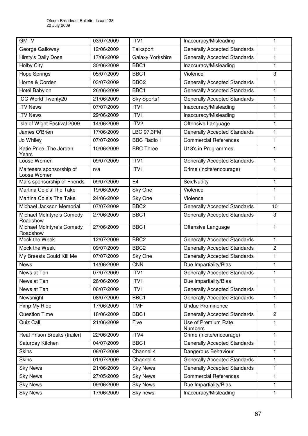| <b>GMTV</b>                             | 03/07/2009 | ITV1                    | Inaccuracy/Misleading               | 1              |
|-----------------------------------------|------------|-------------------------|-------------------------------------|----------------|
| George Galloway                         | 12/06/2009 | Talksport               | <b>Generally Accepted Standards</b> | 1              |
| <b>Hirsty's Daily Dose</b>              | 17/06/2009 | <b>Galaxy Yorkshire</b> | <b>Generally Accepted Standards</b> | 1              |
| <b>Holby City</b>                       | 30/06/2009 | BBC1                    | Inaccuracy/Misleading               | 1              |
| <b>Hope Springs</b>                     | 05/07/2009 | BBC1                    | Violence                            | 3              |
| Horne & Corden                          | 03/07/2009 | BBC <sub>2</sub>        | <b>Generally Accepted Standards</b> | 1              |
| Hotel Babylon                           | 26/06/2009 | BBC1                    | <b>Generally Accepted Standards</b> | 1              |
| <b>ICC World Twenty20</b>               | 21/06/2009 | Sky Sports1             | <b>Generally Accepted Standards</b> | 1              |
| <b>ITV News</b>                         | 07/07/2009 | ITV1                    | Inaccuracy/Misleading               | 1              |
| <b>ITV News</b>                         | 29/06/2009 | ITV1                    | Inaccuracy/Misleading               | 1              |
| Isle of Wight Festival 2009             | 14/06/2009 | ITV <sub>2</sub>        | Offensive Language                  | 1              |
| James O'Brien                           | 17/06/2009 | <b>LBC 97.3FM</b>       | <b>Generally Accepted Standards</b> | 1              |
| Jo Whiley                               | 07/07/2009 | <b>BBC Radio 1</b>      | <b>Commercial References</b>        | 1              |
| Katie Price: The Jordan<br>Years        | 10/06/2009 | <b>BBC Three</b>        | U18's in Programmes                 | 1              |
| Loose Women                             | 09/07/2009 | ITVI                    | <b>Generally Accepted Standards</b> | 1              |
| Maltesers sponsorship of<br>Loose Women | n/a        | ITV1                    | Crime (incite/encourage)            | 1              |
| Mars sponsorship of Friends             | 09/07/2009 | E <sub>4</sub>          | Sex/Nudity                          | $\mathbf{1}$   |
| Martina Cole's The Take                 | 19/06/2009 | Sky One                 | Violence                            | 1              |
| Martina Cole's The Take                 | 24/06/2009 | Sky One                 | Violence                            | 1              |
| Michael Jackson Memorial                | 07/07/2009 | BBC <sub>2</sub>        | <b>Generally Accepted Standards</b> | 10             |
| Michael McIntyre's Comedy<br>Roadshow   | 27/06/2009 | BBC1                    | <b>Generally Accepted Standards</b> | $\sqrt{3}$     |
| Michael McIntyre's Comedy<br>Roadshow   | 27/06/2009 | BBC1                    | Offensive Language                  | 1              |
| Mock the Week                           | 12/07/2009 | BBC <sub>2</sub>        | <b>Generally Accepted Standards</b> | 1              |
| Mock the Week                           | 09/07/2009 | BBC <sub>2</sub>        | <b>Generally Accepted Standards</b> | $\overline{2}$ |
| My Breasts Could Kill Me                | 07/07/2009 | Sky One                 | <b>Generally Accepted Standards</b> | 1              |
| <b>News</b>                             | 14/06/2009 | <b>CNN</b>              | Due Impartiality/Bias               | 1              |
| News at Ten                             | 07/07/2009 | ITV <sub>1</sub>        | <b>Generally Accepted Standards</b> | 1              |
| News at Ten                             | 26/06/2009 | ITV1                    | Due Impartiality/Bias               | 1              |
| News at Ten                             | 06/07/2009 | ITV1                    | <b>Generally Accepted Standards</b> | 1              |
| Newsnight                               | 08/07/2009 | BBC1                    | <b>Generally Accepted Standards</b> | 1              |
| Pimp My Ride                            | 17/06/2009 | <b>TMF</b>              | <b>Undue Prominence</b>             | 1              |
| <b>Question Time</b>                    | 18/06/2009 | BBC1                    | <b>Generally Accepted Standards</b> | $\mathbf{2}$   |
| Quiz Call                               | 21/06/2009 | Five                    | Use of Premium Rate<br>Numbers      | 1              |
| Real Prison Breaks (trailer)            | 22/06/2009 | ITV4                    | Crime (incite/encourage)            | 1              |
| Saturday Kitchen                        | 04/07/2009 | BBC1                    | <b>Generally Accepted Standards</b> | 1              |
| <b>Skins</b>                            | 08/07/2009 | Channel 4               | Dangerous Behaviour                 | 1              |
| <b>Skins</b>                            | 01/07/2009 | Channel 4               | <b>Generally Accepted Standards</b> | 1              |
| <b>Sky News</b>                         | 21/06/2009 | <b>Sky News</b>         | <b>Generally Accepted Standards</b> | 1              |
| <b>Sky News</b>                         | 27/05/2009 | <b>Sky News</b>         | <b>Commercial References</b>        | 1              |
| <b>Sky News</b>                         | 09/06/2009 | <b>Sky News</b>         | Due Impartiality/Bias               | 1              |
| <b>Sky News</b>                         | 17/06/2009 | Sky news                | Inaccuracy/Misleading               | $\mathbf{1}$   |